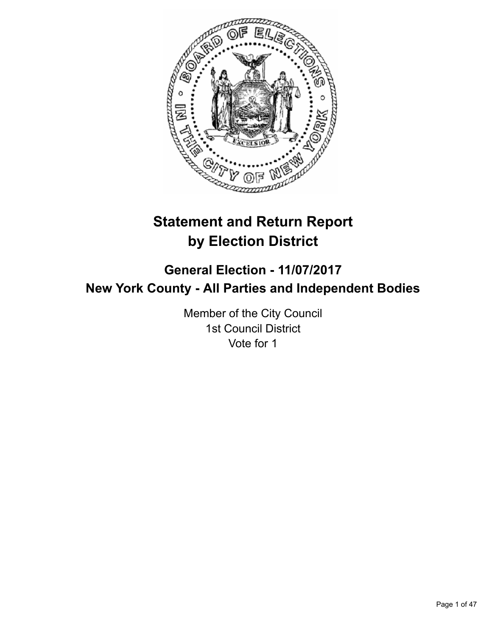

# **Statement and Return Report by Election District**

# **General Election - 11/07/2017 New York County - All Parties and Independent Bodies**

Member of the City Council 1st Council District Vote for 1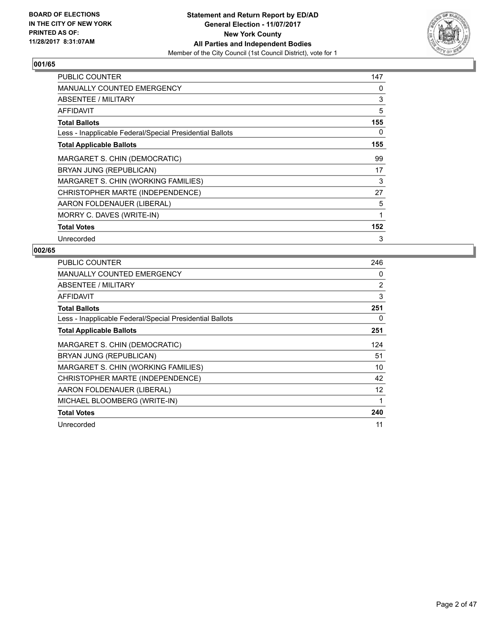

| PUBLIC COUNTER                                           | 147 |
|----------------------------------------------------------|-----|
| <b>MANUALLY COUNTED EMERGENCY</b>                        | 0   |
| <b>ABSENTEE / MILITARY</b>                               | 3   |
| AFFIDAVIT                                                | 5   |
| <b>Total Ballots</b>                                     | 155 |
| Less - Inapplicable Federal/Special Presidential Ballots | 0   |
| <b>Total Applicable Ballots</b>                          | 155 |
| MARGARET S. CHIN (DEMOCRATIC)                            | 99  |
| BRYAN JUNG (REPUBLICAN)                                  | 17  |
| MARGARET S. CHIN (WORKING FAMILIES)                      | 3   |
| CHRISTOPHER MARTE (INDEPENDENCE)                         | 27  |
| AARON FOLDENAUER (LIBERAL)                               | 5   |
| MORRY C. DAVES (WRITE-IN)                                | 1   |
| <b>Total Votes</b>                                       | 152 |
| Unrecorded                                               | 3   |

| <b>PUBLIC COUNTER</b>                                    | 246 |
|----------------------------------------------------------|-----|
| <b>MANUALLY COUNTED EMERGENCY</b>                        | 0   |
| ABSENTEE / MILITARY                                      | 2   |
| AFFIDAVIT                                                | 3   |
| <b>Total Ballots</b>                                     | 251 |
| Less - Inapplicable Federal/Special Presidential Ballots | 0   |
| <b>Total Applicable Ballots</b>                          | 251 |
| MARGARET S. CHIN (DEMOCRATIC)                            | 124 |
| BRYAN JUNG (REPUBLICAN)                                  | 51  |
| MARGARET S. CHIN (WORKING FAMILIES)                      | 10  |
| CHRISTOPHER MARTE (INDEPENDENCE)                         | 42  |
| AARON FOLDENAUER (LIBERAL)                               | 12  |
| MICHAEL BLOOMBERG (WRITE-IN)                             | 1   |
| <b>Total Votes</b>                                       | 240 |
| Unrecorded                                               | 11  |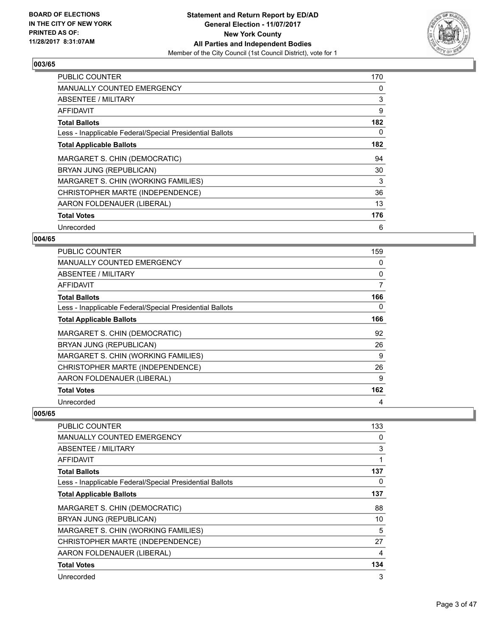

| <b>PUBLIC COUNTER</b>                                    | 170 |
|----------------------------------------------------------|-----|
| <b>MANUALLY COUNTED EMERGENCY</b>                        | 0   |
| ABSENTEE / MILITARY                                      | 3   |
| <b>AFFIDAVIT</b>                                         | 9   |
| <b>Total Ballots</b>                                     | 182 |
| Less - Inapplicable Federal/Special Presidential Ballots | 0   |
| <b>Total Applicable Ballots</b>                          | 182 |
| MARGARET S. CHIN (DEMOCRATIC)                            | 94  |
| BRYAN JUNG (REPUBLICAN)                                  | 30  |
| MARGARET S. CHIN (WORKING FAMILIES)                      | 3   |
| CHRISTOPHER MARTE (INDEPENDENCE)                         | 36  |
| AARON FOLDENAUER (LIBERAL)                               | 13  |
| <b>Total Votes</b>                                       | 176 |
| Unrecorded                                               | 6   |

## **004/65**

| <b>PUBLIC COUNTER</b>                                    | 159 |
|----------------------------------------------------------|-----|
| MANUALLY COUNTED EMERGENCY                               | 0   |
| <b>ABSENTEE / MILITARY</b>                               | 0   |
| AFFIDAVIT                                                | 7   |
| <b>Total Ballots</b>                                     | 166 |
| Less - Inapplicable Federal/Special Presidential Ballots | 0   |
| <b>Total Applicable Ballots</b>                          | 166 |
| MARGARET S. CHIN (DEMOCRATIC)                            | 92  |
| BRYAN JUNG (REPUBLICAN)                                  | 26  |
| MARGARET S. CHIN (WORKING FAMILIES)                      | 9   |
| CHRISTOPHER MARTE (INDEPENDENCE)                         | 26  |
| AARON FOLDENAUER (LIBERAL)                               | 9   |
| <b>Total Votes</b>                                       | 162 |
| Unrecorded                                               | 4   |

| <b>PUBLIC COUNTER</b>                                    | 133 |
|----------------------------------------------------------|-----|
| <b>MANUALLY COUNTED EMERGENCY</b>                        | 0   |
| ABSENTEE / MILITARY                                      | 3   |
| <b>AFFIDAVIT</b>                                         |     |
| <b>Total Ballots</b>                                     | 137 |
| Less - Inapplicable Federal/Special Presidential Ballots | 0   |
| <b>Total Applicable Ballots</b>                          | 137 |
| MARGARET S. CHIN (DEMOCRATIC)                            | 88  |
| BRYAN JUNG (REPUBLICAN)                                  | 10  |
| MARGARET S. CHIN (WORKING FAMILIES)                      | 5   |
| CHRISTOPHER MARTE (INDEPENDENCE)                         | 27  |
| AARON FOLDENAUER (LIBERAL)                               | 4   |
| <b>Total Votes</b>                                       | 134 |
| Unrecorded                                               | 3   |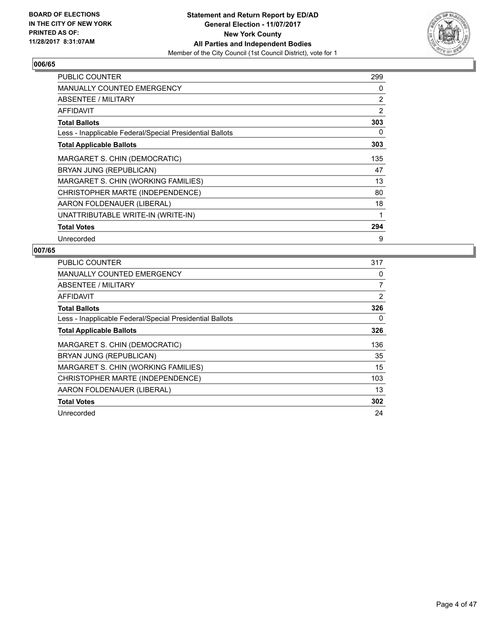

| <b>PUBLIC COUNTER</b>                                    | 299 |
|----------------------------------------------------------|-----|
| <b>MANUALLY COUNTED EMERGENCY</b>                        | 0   |
| ABSENTEE / MILITARY                                      | 2   |
| <b>AFFIDAVIT</b>                                         | 2   |
| <b>Total Ballots</b>                                     | 303 |
| Less - Inapplicable Federal/Special Presidential Ballots | 0   |
| <b>Total Applicable Ballots</b>                          | 303 |
| MARGARET S. CHIN (DEMOCRATIC)                            | 135 |
| BRYAN JUNG (REPUBLICAN)                                  | 47  |
| MARGARET S. CHIN (WORKING FAMILIES)                      | 13  |
| CHRISTOPHER MARTE (INDEPENDENCE)                         | 80  |
| AARON FOLDENAUER (LIBERAL)                               | 18  |
| UNATTRIBUTABLE WRITE-IN (WRITE-IN)                       | 1   |
| <b>Total Votes</b>                                       | 294 |
| Unrecorded                                               | 9   |

| <b>PUBLIC COUNTER</b>                                    | 317            |
|----------------------------------------------------------|----------------|
| <b>MANUALLY COUNTED EMERGENCY</b>                        | 0              |
| ABSENTEE / MILITARY                                      | 7              |
| AFFIDAVIT                                                | $\overline{2}$ |
| <b>Total Ballots</b>                                     | 326            |
| Less - Inapplicable Federal/Special Presidential Ballots | 0              |
| <b>Total Applicable Ballots</b>                          | 326            |
| MARGARET S. CHIN (DEMOCRATIC)                            | 136            |
| BRYAN JUNG (REPUBLICAN)                                  | 35             |
| MARGARET S. CHIN (WORKING FAMILIES)                      | 15             |
| CHRISTOPHER MARTE (INDEPENDENCE)                         | 103            |
| AARON FOLDENAUER (LIBERAL)                               | 13             |
| <b>Total Votes</b>                                       | 302            |
| Unrecorded                                               | 24             |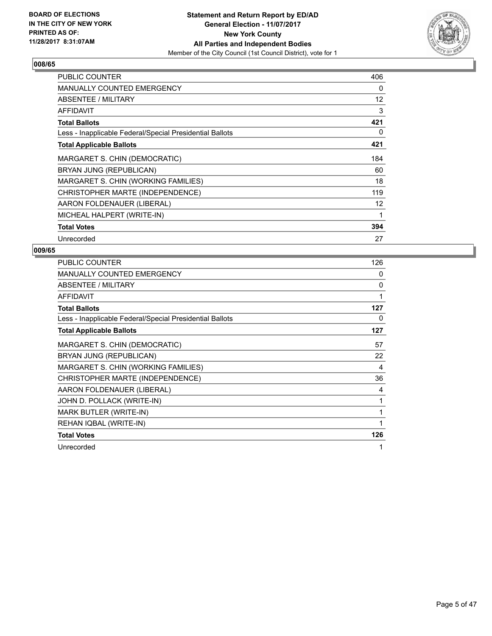

| <b>PUBLIC COUNTER</b>                                    | 406 |
|----------------------------------------------------------|-----|
| <b>MANUALLY COUNTED EMERGENCY</b>                        | 0   |
| <b>ABSENTEE / MILITARY</b>                               | 12  |
| <b>AFFIDAVIT</b>                                         | 3   |
| <b>Total Ballots</b>                                     | 421 |
| Less - Inapplicable Federal/Special Presidential Ballots | 0   |
| <b>Total Applicable Ballots</b>                          | 421 |
| MARGARET S. CHIN (DEMOCRATIC)                            | 184 |
| BRYAN JUNG (REPUBLICAN)                                  | 60  |
| MARGARET S. CHIN (WORKING FAMILIES)                      | 18  |
| CHRISTOPHER MARTE (INDEPENDENCE)                         | 119 |
| AARON FOLDENAUER (LIBERAL)                               | 12  |
| MICHEAL HALPERT (WRITE-IN)                               | 1   |
| <b>Total Votes</b>                                       | 394 |
| Unrecorded                                               | 27  |

| <b>PUBLIC COUNTER</b>                                    | 126 |
|----------------------------------------------------------|-----|
| <b>MANUALLY COUNTED EMERGENCY</b>                        | 0   |
| ABSENTEE / MILITARY                                      | 0   |
| <b>AFFIDAVIT</b>                                         | 1   |
| <b>Total Ballots</b>                                     | 127 |
| Less - Inapplicable Federal/Special Presidential Ballots | 0   |
| <b>Total Applicable Ballots</b>                          | 127 |
| MARGARET S. CHIN (DEMOCRATIC)                            | 57  |
| BRYAN JUNG (REPUBLICAN)                                  | 22  |
| MARGARET S. CHIN (WORKING FAMILIES)                      | 4   |
| CHRISTOPHER MARTE (INDEPENDENCE)                         | 36  |
| AARON FOLDENAUER (LIBERAL)                               | 4   |
| JOHN D. POLLACK (WRITE-IN)                               | 1   |
| MARK BUTLER (WRITE-IN)                                   | 1   |
| REHAN IQBAL (WRITE-IN)                                   | 1   |
| <b>Total Votes</b>                                       | 126 |
| Unrecorded                                               | 1   |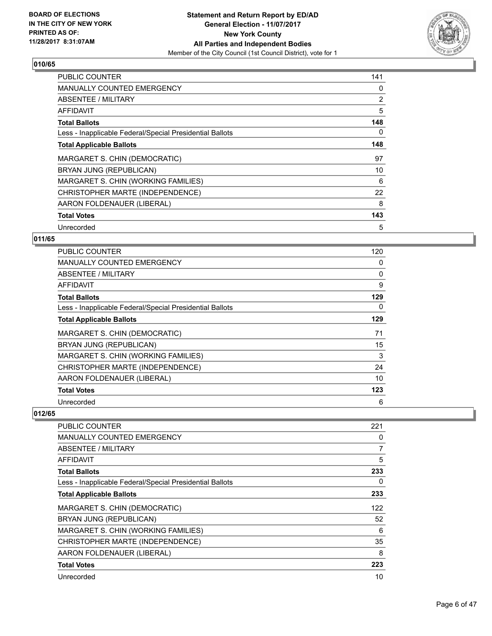

| <b>PUBLIC COUNTER</b>                                    | 141            |
|----------------------------------------------------------|----------------|
| <b>MANUALLY COUNTED EMERGENCY</b>                        | 0              |
| ABSENTEE / MILITARY                                      | $\overline{2}$ |
| AFFIDAVIT                                                | 5              |
| <b>Total Ballots</b>                                     | 148            |
| Less - Inapplicable Federal/Special Presidential Ballots | 0              |
| <b>Total Applicable Ballots</b>                          | 148            |
| MARGARET S. CHIN (DEMOCRATIC)                            | 97             |
| BRYAN JUNG (REPUBLICAN)                                  | 10             |
| MARGARET S. CHIN (WORKING FAMILIES)                      | 6              |
| CHRISTOPHER MARTE (INDEPENDENCE)                         | 22             |
| AARON FOLDENAUER (LIBERAL)                               | 8              |
| <b>Total Votes</b>                                       | 143            |
| Unrecorded                                               | 5              |

## **011/65**

| <b>PUBLIC COUNTER</b>                                    | 120 |
|----------------------------------------------------------|-----|
| <b>MANUALLY COUNTED EMERGENCY</b>                        | 0   |
| ABSENTEE / MILITARY                                      | 0   |
| AFFIDAVIT                                                | 9   |
| <b>Total Ballots</b>                                     | 129 |
| Less - Inapplicable Federal/Special Presidential Ballots | 0   |
| <b>Total Applicable Ballots</b>                          | 129 |
| MARGARET S. CHIN (DEMOCRATIC)                            | 71  |
| BRYAN JUNG (REPUBLICAN)                                  | 15  |
| MARGARET S. CHIN (WORKING FAMILIES)                      | 3   |
| CHRISTOPHER MARTE (INDEPENDENCE)                         | 24  |
| AARON FOLDENAUER (LIBERAL)                               | 10  |
| <b>Total Votes</b>                                       | 123 |
| Unrecorded                                               | 6   |

| <b>PUBLIC COUNTER</b>                                    | 221 |
|----------------------------------------------------------|-----|
| <b>MANUALLY COUNTED EMERGENCY</b>                        | 0   |
| <b>ABSENTEE / MILITARY</b>                               | 7   |
| AFFIDAVIT                                                | 5   |
| <b>Total Ballots</b>                                     | 233 |
| Less - Inapplicable Federal/Special Presidential Ballots | 0   |
| <b>Total Applicable Ballots</b>                          | 233 |
| MARGARET S. CHIN (DEMOCRATIC)                            | 122 |
| BRYAN JUNG (REPUBLICAN)                                  | 52  |
| MARGARET S. CHIN (WORKING FAMILIES)                      | 6   |
| CHRISTOPHER MARTE (INDEPENDENCE)                         | 35  |
| AARON FOLDENAUER (LIBERAL)                               | 8   |
| <b>Total Votes</b>                                       | 223 |
| Unrecorded                                               | 10  |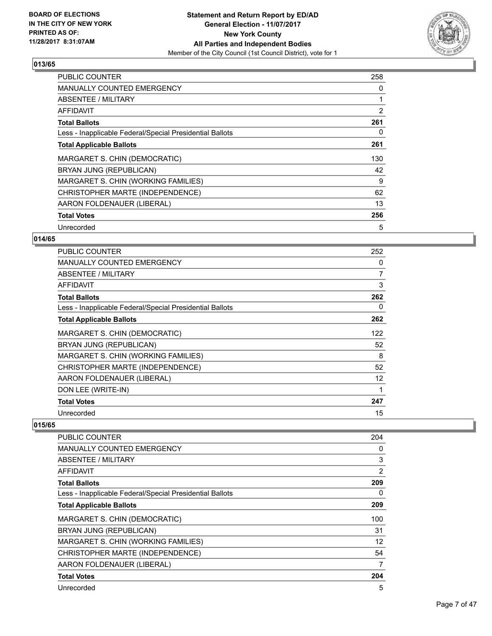

| <b>PUBLIC COUNTER</b>                                    | 258 |
|----------------------------------------------------------|-----|
| <b>MANUALLY COUNTED EMERGENCY</b>                        | 0   |
| <b>ABSENTEE / MILITARY</b>                               |     |
| AFFIDAVIT                                                | 2   |
| <b>Total Ballots</b>                                     | 261 |
| Less - Inapplicable Federal/Special Presidential Ballots | 0   |
| <b>Total Applicable Ballots</b>                          | 261 |
| MARGARET S. CHIN (DEMOCRATIC)                            | 130 |
| BRYAN JUNG (REPUBLICAN)                                  | 42  |
| MARGARET S. CHIN (WORKING FAMILIES)                      | 9   |
| CHRISTOPHER MARTE (INDEPENDENCE)                         | 62  |
| AARON FOLDENAUER (LIBERAL)                               | 13  |
| <b>Total Votes</b>                                       | 256 |
| Unrecorded                                               | 5   |

## **014/65**

| <b>PUBLIC COUNTER</b>                                    | 252 |
|----------------------------------------------------------|-----|
| <b>MANUALLY COUNTED EMERGENCY</b>                        | 0   |
| ABSENTEE / MILITARY                                      | 7   |
| AFFIDAVIT                                                | 3   |
| <b>Total Ballots</b>                                     | 262 |
| Less - Inapplicable Federal/Special Presidential Ballots | 0   |
| <b>Total Applicable Ballots</b>                          | 262 |
| MARGARET S. CHIN (DEMOCRATIC)                            | 122 |
| BRYAN JUNG (REPUBLICAN)                                  | 52  |
| MARGARET S. CHIN (WORKING FAMILIES)                      | 8   |
| CHRISTOPHER MARTE (INDEPENDENCE)                         | 52  |
| AARON FOLDENAUER (LIBERAL)                               | 12  |
| DON LEE (WRITE-IN)                                       |     |
| <b>Total Votes</b>                                       | 247 |
| Unrecorded                                               | 15  |

| PUBLIC COUNTER                                           | 204               |
|----------------------------------------------------------|-------------------|
| <b>MANUALLY COUNTED EMERGENCY</b>                        | 0                 |
| ABSENTEE / MILITARY                                      | 3                 |
| AFFIDAVIT                                                | $\overline{2}$    |
| <b>Total Ballots</b>                                     | 209               |
| Less - Inapplicable Federal/Special Presidential Ballots | 0                 |
| <b>Total Applicable Ballots</b>                          | 209               |
| MARGARET S. CHIN (DEMOCRATIC)                            | 100               |
| BRYAN JUNG (REPUBLICAN)                                  | 31                |
| MARGARET S. CHIN (WORKING FAMILIES)                      | $12 \overline{ }$ |
| CHRISTOPHER MARTE (INDEPENDENCE)                         | 54                |
| AARON FOLDENAUER (LIBERAL)                               | 7                 |
| <b>Total Votes</b>                                       | 204               |
| Unrecorded                                               | 5                 |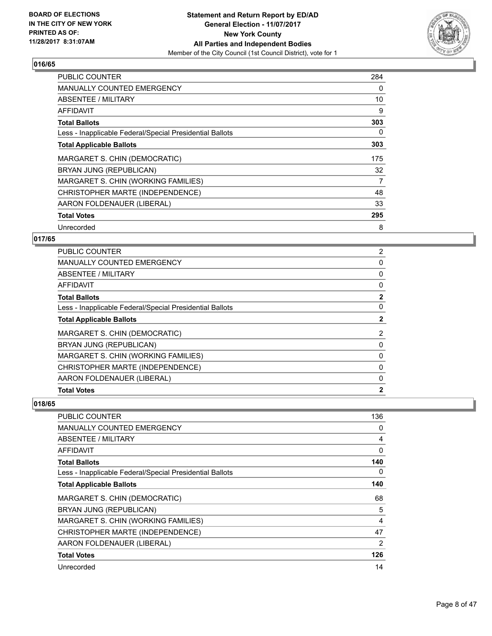

| <b>PUBLIC COUNTER</b>                                    | 284 |
|----------------------------------------------------------|-----|
| <b>MANUALLY COUNTED EMERGENCY</b>                        | 0   |
| <b>ABSENTEE / MILITARY</b>                               | 10  |
| AFFIDAVIT                                                | 9   |
| <b>Total Ballots</b>                                     | 303 |
| Less - Inapplicable Federal/Special Presidential Ballots | 0   |
| <b>Total Applicable Ballots</b>                          | 303 |
| MARGARET S. CHIN (DEMOCRATIC)                            | 175 |
| BRYAN JUNG (REPUBLICAN)                                  | 32  |
| MARGARET S. CHIN (WORKING FAMILIES)                      | 7   |
| CHRISTOPHER MARTE (INDEPENDENCE)                         | 48  |
| AARON FOLDENAUER (LIBERAL)                               | 33  |
| <b>Total Votes</b>                                       | 295 |
| Unrecorded                                               | 8   |

## **017/65**

| <b>PUBLIC COUNTER</b>                                    | 2            |
|----------------------------------------------------------|--------------|
| <b>MANUALLY COUNTED EMERGENCY</b>                        | 0            |
| ABSENTEE / MILITARY                                      | 0            |
| AFFIDAVIT                                                | 0            |
| <b>Total Ballots</b>                                     | $\mathbf{2}$ |
| Less - Inapplicable Federal/Special Presidential Ballots | 0            |
| <b>Total Applicable Ballots</b>                          | 2            |
| MARGARET S. CHIN (DEMOCRATIC)                            | 2            |
| BRYAN JUNG (REPUBLICAN)                                  | 0            |
| MARGARET S. CHIN (WORKING FAMILIES)                      | 0            |
| CHRISTOPHER MARTE (INDEPENDENCE)                         | 0            |
| AARON FOLDENAUER (LIBERAL)                               | 0            |
| <b>Total Votes</b>                                       | $\mathbf{2}$ |

| <b>PUBLIC COUNTER</b>                                    | 136            |
|----------------------------------------------------------|----------------|
| <b>MANUALLY COUNTED EMERGENCY</b>                        | 0              |
| ABSENTEE / MILITARY                                      | 4              |
| <b>AFFIDAVIT</b>                                         | 0              |
| <b>Total Ballots</b>                                     | 140            |
| Less - Inapplicable Federal/Special Presidential Ballots | 0              |
| <b>Total Applicable Ballots</b>                          | 140            |
| MARGARET S. CHIN (DEMOCRATIC)                            | 68             |
| BRYAN JUNG (REPUBLICAN)                                  | 5              |
| MARGARET S. CHIN (WORKING FAMILIES)                      | 4              |
| CHRISTOPHER MARTE (INDEPENDENCE)                         | 47             |
| AARON FOLDENAUER (LIBERAL)                               | $\overline{2}$ |
| <b>Total Votes</b>                                       | 126            |
| Unrecorded                                               | 14             |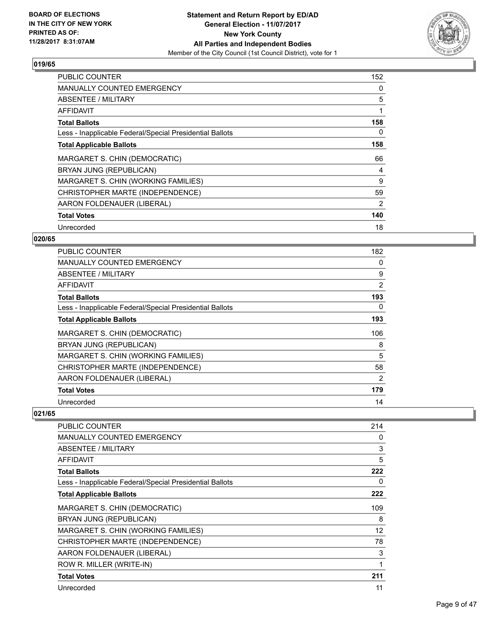

| <b>PUBLIC COUNTER</b>                                    | 152 |
|----------------------------------------------------------|-----|
| <b>MANUALLY COUNTED EMERGENCY</b>                        | 0   |
| <b>ABSENTEE / MILITARY</b>                               | 5   |
| AFFIDAVIT                                                |     |
| <b>Total Ballots</b>                                     | 158 |
| Less - Inapplicable Federal/Special Presidential Ballots | 0   |
| <b>Total Applicable Ballots</b>                          | 158 |
| MARGARET S. CHIN (DEMOCRATIC)                            | 66  |
| BRYAN JUNG (REPUBLICAN)                                  | 4   |
| MARGARET S. CHIN (WORKING FAMILIES)                      | 9   |
| CHRISTOPHER MARTE (INDEPENDENCE)                         | 59  |
| AARON FOLDENAUER (LIBERAL)                               | 2   |
| <b>Total Votes</b>                                       | 140 |
| Unrecorded                                               | 18  |

## **020/65**

| <b>PUBLIC COUNTER</b>                                    | 182            |
|----------------------------------------------------------|----------------|
| <b>MANUALLY COUNTED EMERGENCY</b>                        | 0              |
| ABSENTEE / MILITARY                                      | 9              |
| AFFIDAVIT                                                | $\overline{2}$ |
| <b>Total Ballots</b>                                     | 193            |
| Less - Inapplicable Federal/Special Presidential Ballots | 0              |
| <b>Total Applicable Ballots</b>                          | 193            |
| MARGARET S. CHIN (DEMOCRATIC)                            | 106            |
| BRYAN JUNG (REPUBLICAN)                                  | 8              |
| MARGARET S. CHIN (WORKING FAMILIES)                      | 5              |
| CHRISTOPHER MARTE (INDEPENDENCE)                         | 58             |
| AARON FOLDENAUER (LIBERAL)                               | 2              |
| <b>Total Votes</b>                                       | 179            |
| Unrecorded                                               | 14             |

| PUBLIC COUNTER                                           | 214 |
|----------------------------------------------------------|-----|
| <b>MANUALLY COUNTED EMERGENCY</b>                        | 0   |
| ABSENTEE / MILITARY                                      | 3   |
| AFFIDAVIT                                                | 5   |
| <b>Total Ballots</b>                                     | 222 |
| Less - Inapplicable Federal/Special Presidential Ballots | 0   |
| <b>Total Applicable Ballots</b>                          | 222 |
| MARGARET S. CHIN (DEMOCRATIC)                            | 109 |
| BRYAN JUNG (REPUBLICAN)                                  | 8   |
| MARGARET S. CHIN (WORKING FAMILIES)                      | 12  |
| CHRISTOPHER MARTE (INDEPENDENCE)                         | 78  |
| AARON FOLDENAUER (LIBERAL)                               | 3   |
| ROW R. MILLER (WRITE-IN)                                 | 1   |
| <b>Total Votes</b>                                       | 211 |
| Unrecorded                                               | 11  |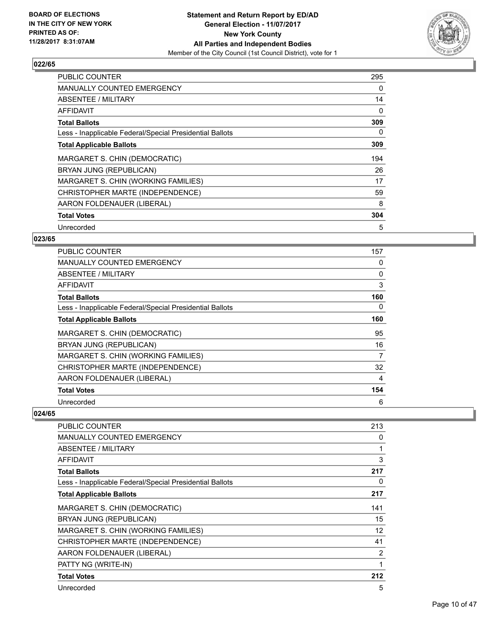

| <b>PUBLIC COUNTER</b>                                    | 295 |
|----------------------------------------------------------|-----|
| <b>MANUALLY COUNTED EMERGENCY</b>                        | 0   |
| <b>ABSENTEE / MILITARY</b>                               | 14  |
| <b>AFFIDAVIT</b>                                         | 0   |
| <b>Total Ballots</b>                                     | 309 |
| Less - Inapplicable Federal/Special Presidential Ballots | 0   |
| <b>Total Applicable Ballots</b>                          | 309 |
| MARGARET S. CHIN (DEMOCRATIC)                            | 194 |
| BRYAN JUNG (REPUBLICAN)                                  | 26  |
| MARGARET S. CHIN (WORKING FAMILIES)                      | 17  |
| CHRISTOPHER MARTE (INDEPENDENCE)                         | 59  |
| AARON FOLDENAUER (LIBERAL)                               | 8   |
| <b>Total Votes</b>                                       | 304 |
| Unrecorded                                               | 5   |

#### **023/65**

| <b>PUBLIC COUNTER</b>                                    | 157 |
|----------------------------------------------------------|-----|
| <b>MANUALLY COUNTED EMERGENCY</b>                        | 0   |
| ABSENTEE / MILITARY                                      | 0   |
| AFFIDAVIT                                                | 3   |
| <b>Total Ballots</b>                                     | 160 |
| Less - Inapplicable Federal/Special Presidential Ballots | 0   |
| <b>Total Applicable Ballots</b>                          | 160 |
| MARGARET S. CHIN (DEMOCRATIC)                            | 95  |
| BRYAN JUNG (REPUBLICAN)                                  | 16  |
| MARGARET S. CHIN (WORKING FAMILIES)                      | 7   |
| CHRISTOPHER MARTE (INDEPENDENCE)                         | 32  |
| AARON FOLDENAUER (LIBERAL)                               | 4   |
| <b>Total Votes</b>                                       | 154 |
| Unrecorded                                               | 6   |

| PUBLIC COUNTER                                           | 213               |
|----------------------------------------------------------|-------------------|
| <b>MANUALLY COUNTED EMERGENCY</b>                        | 0                 |
| <b>ABSENTEE / MILITARY</b>                               | 1                 |
| AFFIDAVIT                                                | 3                 |
| <b>Total Ballots</b>                                     | 217               |
| Less - Inapplicable Federal/Special Presidential Ballots | 0                 |
| <b>Total Applicable Ballots</b>                          | 217               |
| MARGARET S. CHIN (DEMOCRATIC)                            | 141               |
| BRYAN JUNG (REPUBLICAN)                                  | 15                |
| MARGARET S. CHIN (WORKING FAMILIES)                      | $12 \overline{ }$ |
| CHRISTOPHER MARTE (INDEPENDENCE)                         | 41                |
| AARON FOLDENAUER (LIBERAL)                               | 2                 |
| PATTY NG (WRITE-IN)                                      | 1                 |
| <b>Total Votes</b>                                       | 212               |
| Unrecorded                                               | 5                 |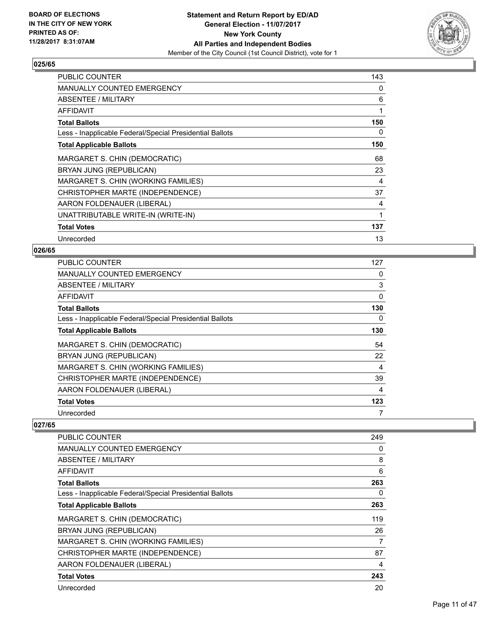

| <b>PUBLIC COUNTER</b>                                    | 143 |
|----------------------------------------------------------|-----|
| <b>MANUALLY COUNTED EMERGENCY</b>                        | 0   |
| ABSENTEE / MILITARY                                      | 6   |
| AFFIDAVIT                                                | 1   |
| <b>Total Ballots</b>                                     | 150 |
| Less - Inapplicable Federal/Special Presidential Ballots | 0   |
| <b>Total Applicable Ballots</b>                          | 150 |
| MARGARET S. CHIN (DEMOCRATIC)                            | 68  |
| BRYAN JUNG (REPUBLICAN)                                  | 23  |
| MARGARET S. CHIN (WORKING FAMILIES)                      | 4   |
| CHRISTOPHER MARTE (INDEPENDENCE)                         | 37  |
| AARON FOLDENAUER (LIBERAL)                               | 4   |
| UNATTRIBUTABLE WRITE-IN (WRITE-IN)                       | 1   |
| <b>Total Votes</b>                                       | 137 |
| Unrecorded                                               | 13  |

#### **026/65**

| <b>PUBLIC COUNTER</b>                                    | 127 |
|----------------------------------------------------------|-----|
| <b>MANUALLY COUNTED EMERGENCY</b>                        | 0   |
| ABSENTEE / MILITARY                                      | 3   |
| AFFIDAVIT                                                | 0   |
| <b>Total Ballots</b>                                     | 130 |
| Less - Inapplicable Federal/Special Presidential Ballots | 0   |
| <b>Total Applicable Ballots</b>                          | 130 |
| MARGARET S. CHIN (DEMOCRATIC)                            | 54  |
| BRYAN JUNG (REPUBLICAN)                                  | 22  |
| MARGARET S. CHIN (WORKING FAMILIES)                      | 4   |
| CHRISTOPHER MARTE (INDEPENDENCE)                         | 39  |
| AARON FOLDENAUER (LIBERAL)                               | 4   |
| <b>Total Votes</b>                                       | 123 |
| Unrecorded                                               | 7   |

| PUBLIC COUNTER                                           | 249 |
|----------------------------------------------------------|-----|
| <b>MANUALLY COUNTED EMERGENCY</b>                        | 0   |
| ABSENTEE / MILITARY                                      | 8   |
| AFFIDAVIT                                                | 6   |
| <b>Total Ballots</b>                                     | 263 |
| Less - Inapplicable Federal/Special Presidential Ballots | 0   |
| <b>Total Applicable Ballots</b>                          | 263 |
| MARGARET S. CHIN (DEMOCRATIC)                            | 119 |
| BRYAN JUNG (REPUBLICAN)                                  | 26  |
| MARGARET S. CHIN (WORKING FAMILIES)                      | 7   |
| CHRISTOPHER MARTE (INDEPENDENCE)                         | 87  |
| AARON FOLDENAUER (LIBERAL)                               | 4   |
| <b>Total Votes</b>                                       | 243 |
| Unrecorded                                               | 20  |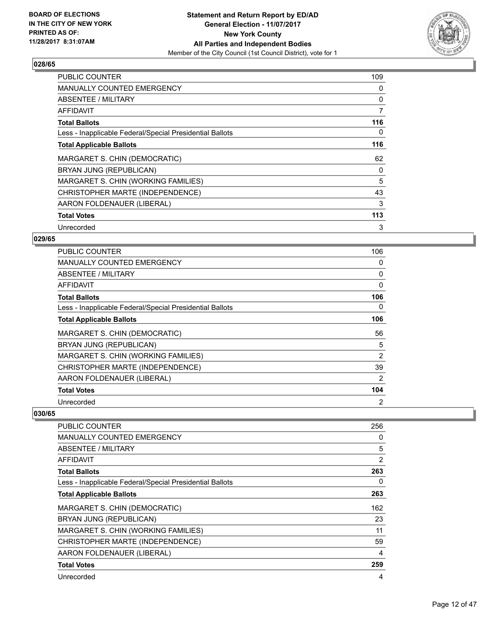

| <b>PUBLIC COUNTER</b>                                    | 109 |
|----------------------------------------------------------|-----|
| <b>MANUALLY COUNTED EMERGENCY</b>                        | 0   |
| <b>ABSENTEE / MILITARY</b>                               | 0   |
| <b>AFFIDAVIT</b>                                         | 7   |
| <b>Total Ballots</b>                                     | 116 |
| Less - Inapplicable Federal/Special Presidential Ballots | 0   |
| <b>Total Applicable Ballots</b>                          | 116 |
| MARGARET S. CHIN (DEMOCRATIC)                            | 62  |
| BRYAN JUNG (REPUBLICAN)                                  | 0   |
| MARGARET S. CHIN (WORKING FAMILIES)                      | 5   |
| CHRISTOPHER MARTE (INDEPENDENCE)                         | 43  |
| AARON FOLDENAUER (LIBERAL)                               | 3   |
| <b>Total Votes</b>                                       | 113 |
| Unrecorded                                               | 3   |

## **029/65**

| <b>PUBLIC COUNTER</b>                                    | 106            |
|----------------------------------------------------------|----------------|
| <b>MANUALLY COUNTED EMERGENCY</b>                        | 0              |
| ABSENTEE / MILITARY                                      | 0              |
| AFFIDAVIT                                                | $\Omega$       |
| <b>Total Ballots</b>                                     | 106            |
| Less - Inapplicable Federal/Special Presidential Ballots | 0              |
| <b>Total Applicable Ballots</b>                          | 106            |
| MARGARET S. CHIN (DEMOCRATIC)                            | 56             |
| BRYAN JUNG (REPUBLICAN)                                  | 5              |
| MARGARET S. CHIN (WORKING FAMILIES)                      | 2              |
| CHRISTOPHER MARTE (INDEPENDENCE)                         | 39             |
| AARON FOLDENAUER (LIBERAL)                               | 2              |
| <b>Total Votes</b>                                       | 104            |
| Unrecorded                                               | $\overline{2}$ |

| PUBLIC COUNTER                                           | 256            |
|----------------------------------------------------------|----------------|
| <b>MANUALLY COUNTED EMERGENCY</b>                        | 0              |
| ABSENTEE / MILITARY                                      | 5              |
| AFFIDAVIT                                                | $\overline{2}$ |
| <b>Total Ballots</b>                                     | 263            |
| Less - Inapplicable Federal/Special Presidential Ballots | 0              |
| <b>Total Applicable Ballots</b>                          | 263            |
| MARGARET S. CHIN (DEMOCRATIC)                            | 162            |
| BRYAN JUNG (REPUBLICAN)                                  | 23             |
| MARGARET S. CHIN (WORKING FAMILIES)                      | 11             |
| CHRISTOPHER MARTE (INDEPENDENCE)                         | 59             |
| AARON FOLDENAUER (LIBERAL)                               | 4              |
| <b>Total Votes</b>                                       | 259            |
| Unrecorded                                               | 4              |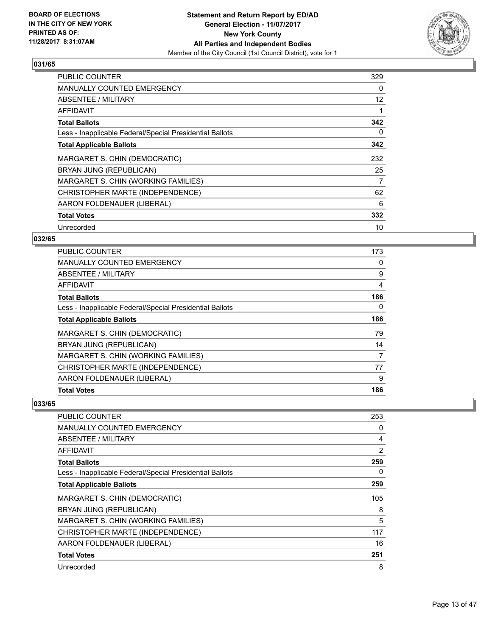

| <b>PUBLIC COUNTER</b>                                    | 329 |
|----------------------------------------------------------|-----|
| <b>MANUALLY COUNTED EMERGENCY</b>                        | 0   |
| <b>ABSENTEE / MILITARY</b>                               | 12  |
| <b>AFFIDAVIT</b>                                         |     |
| <b>Total Ballots</b>                                     | 342 |
| Less - Inapplicable Federal/Special Presidential Ballots | 0   |
| <b>Total Applicable Ballots</b>                          | 342 |
| MARGARET S. CHIN (DEMOCRATIC)                            | 232 |
| BRYAN JUNG (REPUBLICAN)                                  | 25  |
| MARGARET S. CHIN (WORKING FAMILIES)                      | 7   |
| CHRISTOPHER MARTE (INDEPENDENCE)                         | 62  |
| AARON FOLDENAUER (LIBERAL)                               | 6   |
| <b>Total Votes</b>                                       | 332 |
| Unrecorded                                               | 10  |

## **032/65**

| PUBLIC COUNTER                                           | 173 |
|----------------------------------------------------------|-----|
| <b>MANUALLY COUNTED EMERGENCY</b>                        | 0   |
| ABSENTEE / MILITARY                                      | 9   |
| AFFIDAVIT                                                | 4   |
| <b>Total Ballots</b>                                     | 186 |
| Less - Inapplicable Federal/Special Presidential Ballots | 0   |
| <b>Total Applicable Ballots</b>                          | 186 |
| MARGARET S. CHIN (DEMOCRATIC)                            | 79  |
| BRYAN JUNG (REPUBLICAN)                                  | 14  |
| MARGARET S. CHIN (WORKING FAMILIES)                      | 7   |
| CHRISTOPHER MARTE (INDEPENDENCE)                         | 77  |
| AARON FOLDENAUER (LIBERAL)                               | 9   |
| <b>Total Votes</b>                                       | 186 |

| <b>PUBLIC COUNTER</b>                                    | 253 |
|----------------------------------------------------------|-----|
| MANUALLY COUNTED EMERGENCY                               | 0   |
| ABSENTEE / MILITARY                                      | 4   |
| AFFIDAVIT                                                | 2   |
| <b>Total Ballots</b>                                     | 259 |
| Less - Inapplicable Federal/Special Presidential Ballots | 0   |
| <b>Total Applicable Ballots</b>                          | 259 |
| MARGARET S. CHIN (DEMOCRATIC)                            | 105 |
| BRYAN JUNG (REPUBLICAN)                                  | 8   |
| MARGARET S. CHIN (WORKING FAMILIES)                      | 5   |
| CHRISTOPHER MARTE (INDEPENDENCE)                         | 117 |
| AARON FOLDENAUER (LIBERAL)                               | 16  |
| <b>Total Votes</b>                                       | 251 |
| Unrecorded                                               | 8   |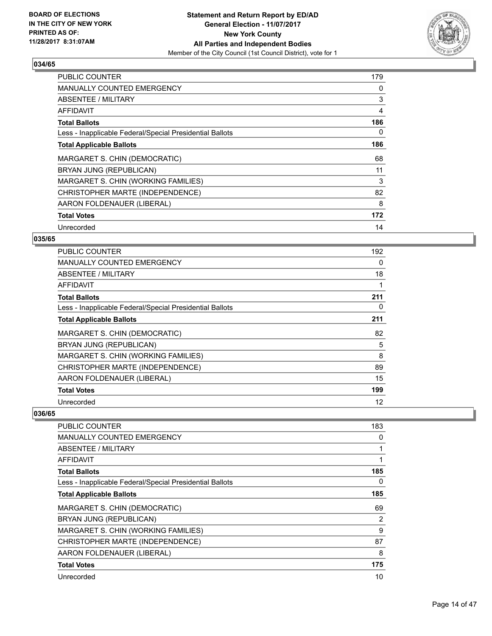

| <b>PUBLIC COUNTER</b>                                    | 179 |
|----------------------------------------------------------|-----|
| <b>MANUALLY COUNTED EMERGENCY</b>                        | 0   |
| ABSENTEE / MILITARY                                      | 3   |
| AFFIDAVIT                                                | 4   |
| <b>Total Ballots</b>                                     | 186 |
| Less - Inapplicable Federal/Special Presidential Ballots | 0   |
| <b>Total Applicable Ballots</b>                          | 186 |
| MARGARET S. CHIN (DEMOCRATIC)                            | 68  |
| BRYAN JUNG (REPUBLICAN)                                  | 11  |
| MARGARET S. CHIN (WORKING FAMILIES)                      | 3   |
| CHRISTOPHER MARTE (INDEPENDENCE)                         | 82  |
| AARON FOLDENAUER (LIBERAL)                               | 8   |
| <b>Total Votes</b>                                       | 172 |
| Unrecorded                                               | 14  |

## **035/65**

| <b>PUBLIC COUNTER</b>                                    | 192 |
|----------------------------------------------------------|-----|
| MANUALLY COUNTED EMERGENCY                               | 0   |
| ABSENTEE / MILITARY                                      | 18  |
| <b>AFFIDAVIT</b>                                         |     |
| <b>Total Ballots</b>                                     | 211 |
| Less - Inapplicable Federal/Special Presidential Ballots | 0   |
| <b>Total Applicable Ballots</b>                          | 211 |
| MARGARET S. CHIN (DEMOCRATIC)                            | 82  |
| BRYAN JUNG (REPUBLICAN)                                  | 5   |
| MARGARET S. CHIN (WORKING FAMILIES)                      | 8   |
| CHRISTOPHER MARTE (INDEPENDENCE)                         | 89  |
| AARON FOLDENAUER (LIBERAL)                               | 15  |
| <b>Total Votes</b>                                       | 199 |
| Unrecorded                                               | 12  |

| <b>PUBLIC COUNTER</b>                                    | 183 |
|----------------------------------------------------------|-----|
| <b>MANUALLY COUNTED EMERGENCY</b>                        | 0   |
| ABSENTEE / MILITARY                                      |     |
| <b>AFFIDAVIT</b>                                         |     |
| <b>Total Ballots</b>                                     | 185 |
| Less - Inapplicable Federal/Special Presidential Ballots | 0   |
| <b>Total Applicable Ballots</b>                          | 185 |
| MARGARET S. CHIN (DEMOCRATIC)                            | 69  |
| BRYAN JUNG (REPUBLICAN)                                  | 2   |
| MARGARET S. CHIN (WORKING FAMILIES)                      | 9   |
| CHRISTOPHER MARTE (INDEPENDENCE)                         | 87  |
| AARON FOLDENAUER (LIBERAL)                               | 8   |
| <b>Total Votes</b>                                       | 175 |
| Unrecorded                                               | 10  |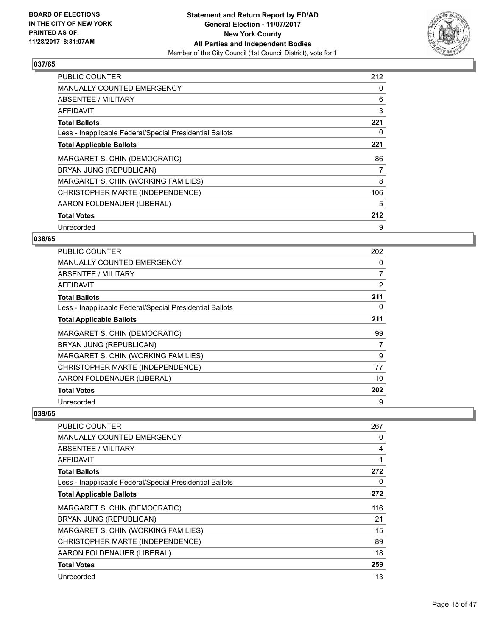

| <b>PUBLIC COUNTER</b>                                    | 212 |
|----------------------------------------------------------|-----|
| <b>MANUALLY COUNTED EMERGENCY</b>                        | 0   |
| <b>ABSENTEE / MILITARY</b>                               | 6   |
| <b>AFFIDAVIT</b>                                         | 3   |
| <b>Total Ballots</b>                                     | 221 |
| Less - Inapplicable Federal/Special Presidential Ballots | 0   |
| <b>Total Applicable Ballots</b>                          | 221 |
| MARGARET S. CHIN (DEMOCRATIC)                            | 86  |
| BRYAN JUNG (REPUBLICAN)                                  | 7   |
| MARGARET S. CHIN (WORKING FAMILIES)                      | 8   |
| CHRISTOPHER MARTE (INDEPENDENCE)                         | 106 |
| AARON FOLDENAUER (LIBERAL)                               | 5   |
| <b>Total Votes</b>                                       | 212 |
| Unrecorded                                               | 9   |

## **038/65**

| <b>PUBLIC COUNTER</b>                                    | 202 |
|----------------------------------------------------------|-----|
| <b>MANUALLY COUNTED EMERGENCY</b>                        | 0   |
| <b>ABSENTEE / MILITARY</b>                               | 7   |
| AFFIDAVIT                                                | 2   |
| <b>Total Ballots</b>                                     | 211 |
| Less - Inapplicable Federal/Special Presidential Ballots | 0   |
| <b>Total Applicable Ballots</b>                          | 211 |
| MARGARET S. CHIN (DEMOCRATIC)                            | 99  |
| BRYAN JUNG (REPUBLICAN)                                  | 7   |
| MARGARET S. CHIN (WORKING FAMILIES)                      | 9   |
| CHRISTOPHER MARTE (INDEPENDENCE)                         | 77  |
| AARON FOLDENAUER (LIBERAL)                               | 10  |
| <b>Total Votes</b>                                       | 202 |
| Unrecorded                                               | 9   |

| <b>PUBLIC COUNTER</b>                                    | 267 |
|----------------------------------------------------------|-----|
| <b>MANUALLY COUNTED EMERGENCY</b>                        | 0   |
| <b>ABSENTEE / MILITARY</b>                               | 4   |
| <b>AFFIDAVIT</b>                                         |     |
| <b>Total Ballots</b>                                     | 272 |
| Less - Inapplicable Federal/Special Presidential Ballots | 0   |
| <b>Total Applicable Ballots</b>                          | 272 |
| MARGARET S. CHIN (DEMOCRATIC)                            | 116 |
| BRYAN JUNG (REPUBLICAN)                                  | 21  |
| MARGARET S. CHIN (WORKING FAMILIES)                      | 15  |
| CHRISTOPHER MARTE (INDEPENDENCE)                         | 89  |
| AARON FOLDENAUER (LIBERAL)                               | 18  |
| <b>Total Votes</b>                                       | 259 |
| Unrecorded                                               | 13  |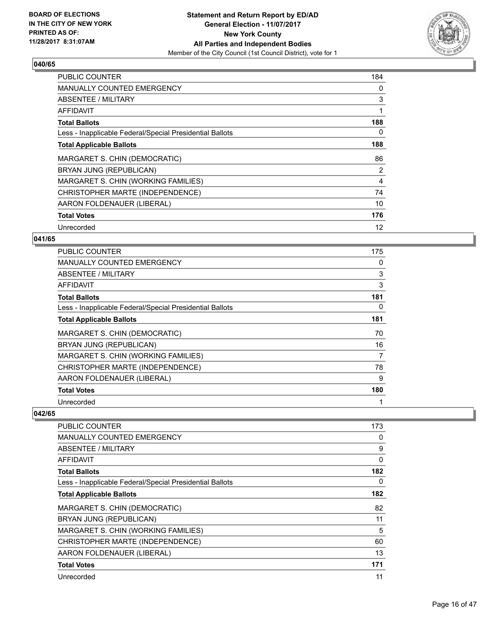

| <b>PUBLIC COUNTER</b>                                    | 184 |
|----------------------------------------------------------|-----|
| <b>MANUALLY COUNTED EMERGENCY</b>                        | 0   |
| <b>ABSENTEE / MILITARY</b>                               | 3   |
| AFFIDAVIT                                                |     |
| <b>Total Ballots</b>                                     | 188 |
| Less - Inapplicable Federal/Special Presidential Ballots | 0   |
| <b>Total Applicable Ballots</b>                          | 188 |
| MARGARET S. CHIN (DEMOCRATIC)                            | 86  |
| BRYAN JUNG (REPUBLICAN)                                  | 2   |
| MARGARET S. CHIN (WORKING FAMILIES)                      | 4   |
| CHRISTOPHER MARTE (INDEPENDENCE)                         | 74  |
| AARON FOLDENAUER (LIBERAL)                               | 10  |
| <b>Total Votes</b>                                       | 176 |
| Unrecorded                                               | 12  |

#### **041/65**

| <b>PUBLIC COUNTER</b>                                    | 175 |
|----------------------------------------------------------|-----|
| <b>MANUALLY COUNTED EMERGENCY</b>                        | 0   |
| ABSENTEE / MILITARY                                      | 3   |
| AFFIDAVIT                                                | 3   |
| <b>Total Ballots</b>                                     | 181 |
| Less - Inapplicable Federal/Special Presidential Ballots | 0   |
| <b>Total Applicable Ballots</b>                          | 181 |
| MARGARET S. CHIN (DEMOCRATIC)                            | 70  |
| BRYAN JUNG (REPUBLICAN)                                  | 16  |
| MARGARET S. CHIN (WORKING FAMILIES)                      | 7   |
| CHRISTOPHER MARTE (INDEPENDENCE)                         | 78  |
| AARON FOLDENAUER (LIBERAL)                               | 9   |
| <b>Total Votes</b>                                       | 180 |
| Unrecorded                                               | 1   |

| <b>PUBLIC COUNTER</b>                                    | 173 |
|----------------------------------------------------------|-----|
| <b>MANUALLY COUNTED EMERGENCY</b>                        | 0   |
| ABSENTEE / MILITARY                                      | 9   |
| AFFIDAVIT                                                | 0   |
| <b>Total Ballots</b>                                     | 182 |
| Less - Inapplicable Federal/Special Presidential Ballots | 0   |
| <b>Total Applicable Ballots</b>                          | 182 |
| MARGARET S. CHIN (DEMOCRATIC)                            | 82  |
| BRYAN JUNG (REPUBLICAN)                                  | 11  |
| MARGARET S. CHIN (WORKING FAMILIES)                      | 5   |
| CHRISTOPHER MARTE (INDEPENDENCE)                         | 60  |
| AARON FOLDENAUER (LIBERAL)                               | 13  |
| <b>Total Votes</b>                                       | 171 |
| Unrecorded                                               | 11  |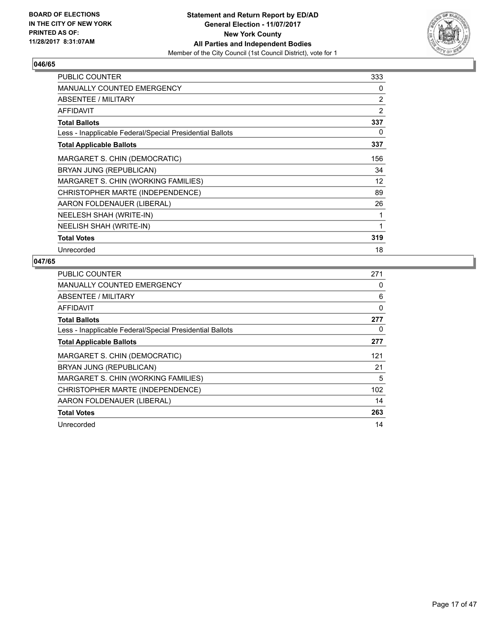

| PUBLIC COUNTER                                           | 333 |
|----------------------------------------------------------|-----|
| MANUALLY COUNTED EMERGENCY                               | 0   |
| ABSENTEE / MILITARY                                      | 2   |
| <b>AFFIDAVIT</b>                                         | 2   |
| <b>Total Ballots</b>                                     | 337 |
| Less - Inapplicable Federal/Special Presidential Ballots | 0   |
| <b>Total Applicable Ballots</b>                          | 337 |
| MARGARET S. CHIN (DEMOCRATIC)                            | 156 |
| BRYAN JUNG (REPUBLICAN)                                  | 34  |
| MARGARET S. CHIN (WORKING FAMILIES)                      | 12  |
| CHRISTOPHER MARTE (INDEPENDENCE)                         | 89  |
| AARON FOLDENAUER (LIBERAL)                               | 26  |
| NEELESH SHAH (WRITE-IN)                                  | 1   |
| NEELISH SHAH (WRITE-IN)                                  | 1   |
| <b>Total Votes</b>                                       | 319 |
| Unrecorded                                               | 18  |

| <b>PUBLIC COUNTER</b>                                    | 271 |
|----------------------------------------------------------|-----|
| <b>MANUALLY COUNTED EMERGENCY</b>                        | 0   |
| ABSENTEE / MILITARY                                      | 6   |
| AFFIDAVIT                                                | 0   |
| <b>Total Ballots</b>                                     | 277 |
| Less - Inapplicable Federal/Special Presidential Ballots | 0   |
| <b>Total Applicable Ballots</b>                          | 277 |
| MARGARET S. CHIN (DEMOCRATIC)                            | 121 |
| BRYAN JUNG (REPUBLICAN)                                  | 21  |
| MARGARET S. CHIN (WORKING FAMILIES)                      | 5   |
| CHRISTOPHER MARTE (INDEPENDENCE)                         | 102 |
| AARON FOLDENAUER (LIBERAL)                               | 14  |
| <b>Total Votes</b>                                       | 263 |
| Unrecorded                                               | 14  |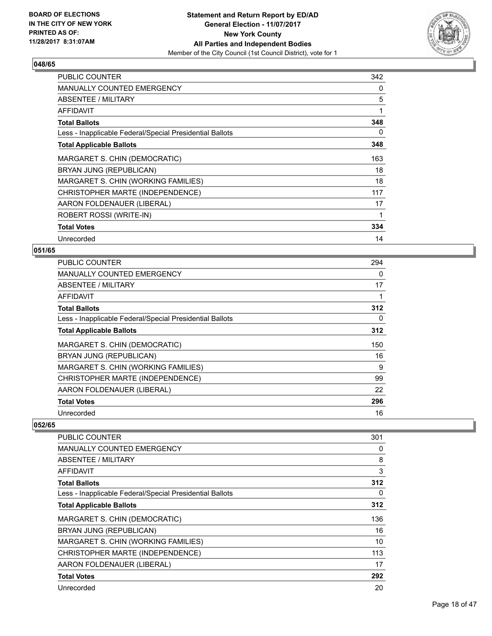

| <b>PUBLIC COUNTER</b>                                    | 342 |
|----------------------------------------------------------|-----|
| <b>MANUALLY COUNTED EMERGENCY</b>                        | 0   |
| ABSENTEE / MILITARY                                      | 5   |
| AFFIDAVIT                                                | 1   |
| <b>Total Ballots</b>                                     | 348 |
| Less - Inapplicable Federal/Special Presidential Ballots | 0   |
| <b>Total Applicable Ballots</b>                          | 348 |
| MARGARET S. CHIN (DEMOCRATIC)                            | 163 |
| BRYAN JUNG (REPUBLICAN)                                  | 18  |
| MARGARET S. CHIN (WORKING FAMILIES)                      | 18  |
| CHRISTOPHER MARTE (INDEPENDENCE)                         | 117 |
| AARON FOLDENAUER (LIBERAL)                               | 17  |
| ROBERT ROSSI (WRITE-IN)                                  | 1   |
| <b>Total Votes</b>                                       | 334 |
| Unrecorded                                               | 14  |

### **051/65**

| <b>PUBLIC COUNTER</b>                                    | 294 |
|----------------------------------------------------------|-----|
| <b>MANUALLY COUNTED EMERGENCY</b>                        | 0   |
| ABSENTEE / MILITARY                                      | 17  |
| AFFIDAVIT                                                |     |
| <b>Total Ballots</b>                                     | 312 |
| Less - Inapplicable Federal/Special Presidential Ballots | 0   |
| <b>Total Applicable Ballots</b>                          | 312 |
| MARGARET S. CHIN (DEMOCRATIC)                            | 150 |
| BRYAN JUNG (REPUBLICAN)                                  | 16  |
| MARGARET S. CHIN (WORKING FAMILIES)                      | 9   |
| CHRISTOPHER MARTE (INDEPENDENCE)                         | 99  |
| AARON FOLDENAUER (LIBERAL)                               | 22  |
| <b>Total Votes</b>                                       | 296 |
| Unrecorded                                               | 16  |

| PUBLIC COUNTER                                           | 301 |
|----------------------------------------------------------|-----|
| <b>MANUALLY COUNTED EMERGENCY</b>                        | 0   |
| ABSENTEE / MILITARY                                      | 8   |
| AFFIDAVIT                                                | 3   |
| <b>Total Ballots</b>                                     | 312 |
| Less - Inapplicable Federal/Special Presidential Ballots | 0   |
| <b>Total Applicable Ballots</b>                          | 312 |
| MARGARET S. CHIN (DEMOCRATIC)                            | 136 |
| BRYAN JUNG (REPUBLICAN)                                  | 16  |
| MARGARET S. CHIN (WORKING FAMILIES)                      | 10  |
| CHRISTOPHER MARTE (INDEPENDENCE)                         | 113 |
| AARON FOLDENAUER (LIBERAL)                               | 17  |
| <b>Total Votes</b>                                       | 292 |
| Unrecorded                                               | 20  |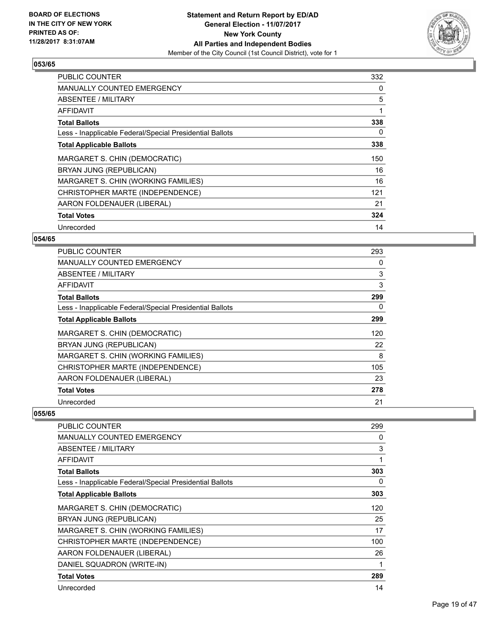

| <b>PUBLIC COUNTER</b>                                    | 332 |
|----------------------------------------------------------|-----|
| <b>MANUALLY COUNTED EMERGENCY</b>                        | 0   |
| <b>ABSENTEE / MILITARY</b>                               | 5   |
| AFFIDAVIT                                                |     |
| <b>Total Ballots</b>                                     | 338 |
| Less - Inapplicable Federal/Special Presidential Ballots | 0   |
| <b>Total Applicable Ballots</b>                          | 338 |
| MARGARET S. CHIN (DEMOCRATIC)                            | 150 |
| BRYAN JUNG (REPUBLICAN)                                  | 16  |
| MARGARET S. CHIN (WORKING FAMILIES)                      | 16  |
| CHRISTOPHER MARTE (INDEPENDENCE)                         | 121 |
| AARON FOLDENAUER (LIBERAL)                               | 21  |
| <b>Total Votes</b>                                       | 324 |
| Unrecorded                                               | 14  |

## **054/65**

| PUBLIC COUNTER                                           | 293 |
|----------------------------------------------------------|-----|
| <b>MANUALLY COUNTED EMERGENCY</b>                        | 0   |
| ABSENTEE / MILITARY                                      | 3   |
| AFFIDAVIT                                                | 3   |
| <b>Total Ballots</b>                                     | 299 |
| Less - Inapplicable Federal/Special Presidential Ballots | 0   |
| <b>Total Applicable Ballots</b>                          | 299 |
| MARGARET S. CHIN (DEMOCRATIC)                            | 120 |
| BRYAN JUNG (REPUBLICAN)                                  | 22  |
| MARGARET S. CHIN (WORKING FAMILIES)                      | 8   |
| CHRISTOPHER MARTE (INDEPENDENCE)                         | 105 |
| AARON FOLDENAUER (LIBERAL)                               | 23  |
| <b>Total Votes</b>                                       | 278 |
| Unrecorded                                               | 21  |

| PUBLIC COUNTER                                           | 299          |
|----------------------------------------------------------|--------------|
| <b>MANUALLY COUNTED EMERGENCY</b>                        | 0            |
| <b>ABSENTEE / MILITARY</b>                               | 3            |
| <b>AFFIDAVIT</b>                                         | $\mathbf{1}$ |
| <b>Total Ballots</b>                                     | 303          |
| Less - Inapplicable Federal/Special Presidential Ballots | 0            |
| <b>Total Applicable Ballots</b>                          | 303          |
| MARGARET S. CHIN (DEMOCRATIC)                            | 120          |
| BRYAN JUNG (REPUBLICAN)                                  | 25           |
| MARGARET S. CHIN (WORKING FAMILIES)                      | 17           |
| CHRISTOPHER MARTE (INDEPENDENCE)                         | 100          |
| AARON FOLDENAUER (LIBERAL)                               | 26           |
| DANIEL SQUADRON (WRITE-IN)                               | 1            |
| <b>Total Votes</b>                                       | 289          |
| Unrecorded                                               | 14           |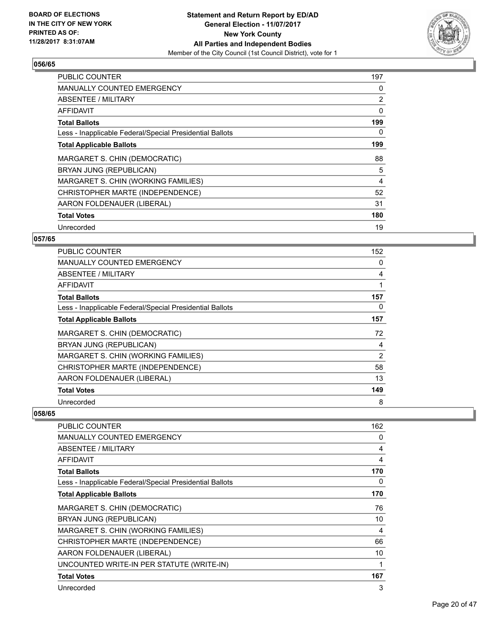

| <b>PUBLIC COUNTER</b>                                    | 197 |
|----------------------------------------------------------|-----|
| <b>MANUALLY COUNTED EMERGENCY</b>                        | 0   |
| ABSENTEE / MILITARY                                      | 2   |
| AFFIDAVIT                                                | 0   |
| <b>Total Ballots</b>                                     | 199 |
| Less - Inapplicable Federal/Special Presidential Ballots | 0   |
| <b>Total Applicable Ballots</b>                          | 199 |
| MARGARET S. CHIN (DEMOCRATIC)                            | 88  |
| BRYAN JUNG (REPUBLICAN)                                  | 5   |
| MARGARET S. CHIN (WORKING FAMILIES)                      | 4   |
| CHRISTOPHER MARTE (INDEPENDENCE)                         | 52  |
| AARON FOLDENAUER (LIBERAL)                               | 31  |
| <b>Total Votes</b>                                       | 180 |
| Unrecorded                                               | 19  |

## **057/65**

| <b>PUBLIC COUNTER</b>                                    | 152 |
|----------------------------------------------------------|-----|
| <b>MANUALLY COUNTED EMERGENCY</b>                        | 0   |
| ABSENTEE / MILITARY                                      | 4   |
| AFFIDAVIT                                                |     |
| <b>Total Ballots</b>                                     | 157 |
| Less - Inapplicable Federal/Special Presidential Ballots | 0   |
| <b>Total Applicable Ballots</b>                          | 157 |
| MARGARET S. CHIN (DEMOCRATIC)                            | 72  |
| BRYAN JUNG (REPUBLICAN)                                  | 4   |
| MARGARET S. CHIN (WORKING FAMILIES)                      | 2   |
| CHRISTOPHER MARTE (INDEPENDENCE)                         | 58  |
| AARON FOLDENAUER (LIBERAL)                               | 13  |
| <b>Total Votes</b>                                       | 149 |
| Unrecorded                                               | 8   |

| PUBLIC COUNTER                                           | 162 |
|----------------------------------------------------------|-----|
| <b>MANUALLY COUNTED EMERGENCY</b>                        | 0   |
| <b>ABSENTEE / MILITARY</b>                               | 4   |
| <b>AFFIDAVIT</b>                                         | 4   |
| <b>Total Ballots</b>                                     | 170 |
| Less - Inapplicable Federal/Special Presidential Ballots | 0   |
| <b>Total Applicable Ballots</b>                          | 170 |
| MARGARET S. CHIN (DEMOCRATIC)                            | 76  |
| BRYAN JUNG (REPUBLICAN)                                  | 10  |
| MARGARET S. CHIN (WORKING FAMILIES)                      | 4   |
| CHRISTOPHER MARTE (INDEPENDENCE)                         | 66  |
| AARON FOLDENAUER (LIBERAL)                               | 10  |
| UNCOUNTED WRITE-IN PER STATUTE (WRITE-IN)                | 1   |
| <b>Total Votes</b>                                       | 167 |
| Unrecorded                                               | 3   |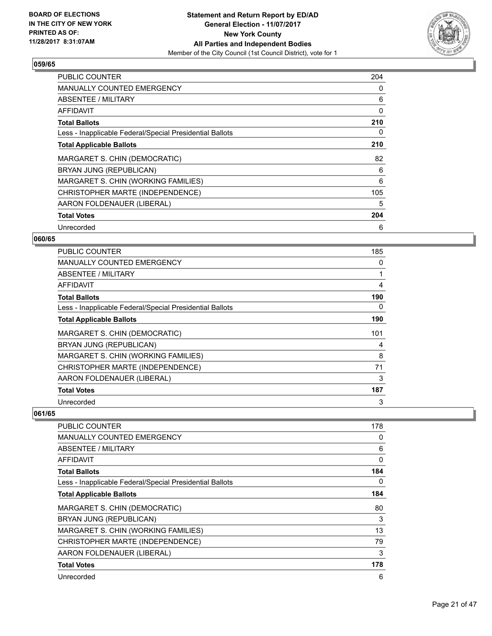

| <b>PUBLIC COUNTER</b>                                    | 204 |
|----------------------------------------------------------|-----|
| <b>MANUALLY COUNTED EMERGENCY</b>                        | 0   |
| ABSENTEE / MILITARY                                      | 6   |
| <b>AFFIDAVIT</b>                                         | 0   |
| <b>Total Ballots</b>                                     | 210 |
| Less - Inapplicable Federal/Special Presidential Ballots | 0   |
| <b>Total Applicable Ballots</b>                          | 210 |
| MARGARET S. CHIN (DEMOCRATIC)                            | 82  |
| BRYAN JUNG (REPUBLICAN)                                  | 6   |
| MARGARET S. CHIN (WORKING FAMILIES)                      | 6   |
| CHRISTOPHER MARTE (INDEPENDENCE)                         | 105 |
| AARON FOLDENAUER (LIBERAL)                               | 5   |
| <b>Total Votes</b>                                       | 204 |
| Unrecorded                                               | 6   |

## **060/65**

| <b>PUBLIC COUNTER</b>                                    | 185 |
|----------------------------------------------------------|-----|
| <b>MANUALLY COUNTED EMERGENCY</b>                        | 0   |
| ABSENTEE / MILITARY                                      | 1   |
| AFFIDAVIT                                                | 4   |
| <b>Total Ballots</b>                                     | 190 |
| Less - Inapplicable Federal/Special Presidential Ballots | 0   |
| <b>Total Applicable Ballots</b>                          | 190 |
| MARGARET S. CHIN (DEMOCRATIC)                            | 101 |
| BRYAN JUNG (REPUBLICAN)                                  | 4   |
| MARGARET S. CHIN (WORKING FAMILIES)                      | 8   |
| CHRISTOPHER MARTE (INDEPENDENCE)                         | 71  |
| AARON FOLDENAUER (LIBERAL)                               | 3   |
| <b>Total Votes</b>                                       | 187 |
| Unrecorded                                               | 3   |

| PUBLIC COUNTER                                           | 178 |
|----------------------------------------------------------|-----|
| <b>MANUALLY COUNTED EMERGENCY</b>                        | 0   |
| <b>ABSENTEE / MILITARY</b>                               | 6   |
| AFFIDAVIT                                                | 0   |
| <b>Total Ballots</b>                                     | 184 |
| Less - Inapplicable Federal/Special Presidential Ballots | 0   |
| <b>Total Applicable Ballots</b>                          | 184 |
| MARGARET S. CHIN (DEMOCRATIC)                            | 80  |
| BRYAN JUNG (REPUBLICAN)                                  | 3   |
| MARGARET S. CHIN (WORKING FAMILIES)                      | 13  |
| CHRISTOPHER MARTE (INDEPENDENCE)                         | 79  |
| AARON FOLDENAUER (LIBERAL)                               | 3   |
| <b>Total Votes</b>                                       | 178 |
| Unrecorded                                               | 6   |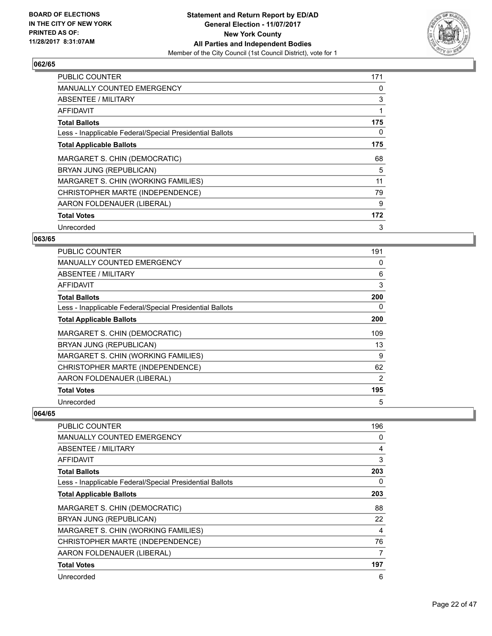

| <b>PUBLIC COUNTER</b>                                    | 171 |
|----------------------------------------------------------|-----|
| <b>MANUALLY COUNTED EMERGENCY</b>                        | 0   |
| ABSENTEE / MILITARY                                      | 3   |
| <b>AFFIDAVIT</b>                                         |     |
| <b>Total Ballots</b>                                     | 175 |
| Less - Inapplicable Federal/Special Presidential Ballots | 0   |
| <b>Total Applicable Ballots</b>                          | 175 |
| MARGARET S. CHIN (DEMOCRATIC)                            | 68  |
| BRYAN JUNG (REPUBLICAN)                                  | 5   |
| MARGARET S. CHIN (WORKING FAMILIES)                      | 11  |
| CHRISTOPHER MARTE (INDEPENDENCE)                         | 79  |
| AARON FOLDENAUER (LIBERAL)                               | 9   |
| <b>Total Votes</b>                                       | 172 |
| Unrecorded                                               | 3   |

#### **063/65**

| <b>PUBLIC COUNTER</b>                                    | 191 |
|----------------------------------------------------------|-----|
| <b>MANUALLY COUNTED EMERGENCY</b>                        | 0   |
| <b>ABSENTEE / MILITARY</b>                               | 6   |
| AFFIDAVIT                                                | 3   |
| <b>Total Ballots</b>                                     | 200 |
| Less - Inapplicable Federal/Special Presidential Ballots | 0   |
| <b>Total Applicable Ballots</b>                          | 200 |
| MARGARET S. CHIN (DEMOCRATIC)                            | 109 |
| BRYAN JUNG (REPUBLICAN)                                  | 13  |
| MARGARET S. CHIN (WORKING FAMILIES)                      | 9   |
| CHRISTOPHER MARTE (INDEPENDENCE)                         | 62  |
| AARON FOLDENAUER (LIBERAL)                               | 2   |
| <b>Total Votes</b>                                       | 195 |
| Unrecorded                                               | 5   |

| PUBLIC COUNTER                                           | 196 |
|----------------------------------------------------------|-----|
| <b>MANUALLY COUNTED EMERGENCY</b>                        | 0   |
| <b>ABSENTEE / MILITARY</b>                               | 4   |
| AFFIDAVIT                                                | 3   |
| <b>Total Ballots</b>                                     | 203 |
| Less - Inapplicable Federal/Special Presidential Ballots | 0   |
| <b>Total Applicable Ballots</b>                          | 203 |
| MARGARET S. CHIN (DEMOCRATIC)                            | 88  |
| BRYAN JUNG (REPUBLICAN)                                  | 22  |
| MARGARET S. CHIN (WORKING FAMILIES)                      | 4   |
| CHRISTOPHER MARTE (INDEPENDENCE)                         | 76  |
| AARON FOLDENAUER (LIBERAL)                               | 7   |
| <b>Total Votes</b>                                       | 197 |
| Unrecorded                                               | 6   |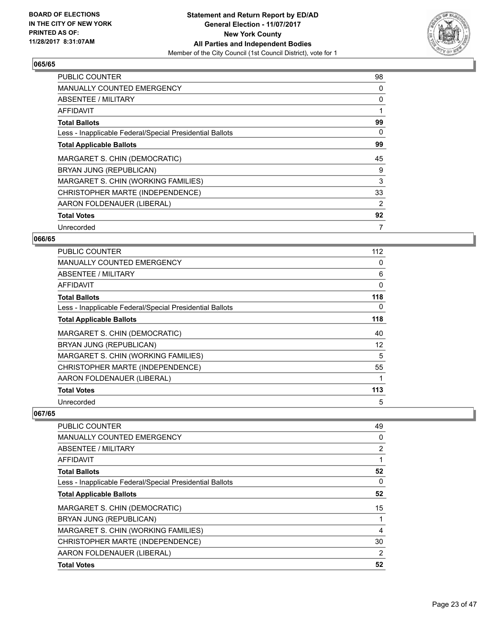

| <b>PUBLIC COUNTER</b>                                    | 98 |
|----------------------------------------------------------|----|
| <b>MANUALLY COUNTED EMERGENCY</b>                        | 0  |
| <b>ABSENTEE / MILITARY</b>                               | 0  |
| AFFIDAVIT                                                |    |
| <b>Total Ballots</b>                                     | 99 |
| Less - Inapplicable Federal/Special Presidential Ballots | 0  |
| <b>Total Applicable Ballots</b>                          | 99 |
| MARGARET S. CHIN (DEMOCRATIC)                            | 45 |
| BRYAN JUNG (REPUBLICAN)                                  | 9  |
| MARGARET S. CHIN (WORKING FAMILIES)                      | 3  |
| CHRISTOPHER MARTE (INDEPENDENCE)                         | 33 |
| AARON FOLDENAUER (LIBERAL)                               | 2  |
| <b>Total Votes</b>                                       | 92 |
| Unrecorded                                               | 7  |

## **066/65**

| <b>PUBLIC COUNTER</b>                                    | 112 |
|----------------------------------------------------------|-----|
| <b>MANUALLY COUNTED EMERGENCY</b>                        | 0   |
| ABSENTEE / MILITARY                                      | 6   |
| AFFIDAVIT                                                | 0   |
| <b>Total Ballots</b>                                     | 118 |
| Less - Inapplicable Federal/Special Presidential Ballots | 0   |
| <b>Total Applicable Ballots</b>                          | 118 |
| MARGARET S. CHIN (DEMOCRATIC)                            | 40  |
| BRYAN JUNG (REPUBLICAN)                                  | 12  |
| MARGARET S. CHIN (WORKING FAMILIES)                      | 5   |
| CHRISTOPHER MARTE (INDEPENDENCE)                         | 55  |
| AARON FOLDENAUER (LIBERAL)                               |     |
| <b>Total Votes</b>                                       | 113 |
| Unrecorded                                               | 5   |

| <b>PUBLIC COUNTER</b>                                    | 49             |
|----------------------------------------------------------|----------------|
| <b>MANUALLY COUNTED EMERGENCY</b>                        | 0              |
| ABSENTEE / MILITARY                                      | 2              |
| AFFIDAVIT                                                | 1              |
| <b>Total Ballots</b>                                     | 52             |
| Less - Inapplicable Federal/Special Presidential Ballots | 0              |
| <b>Total Applicable Ballots</b>                          | 52             |
| MARGARET S. CHIN (DEMOCRATIC)                            | 15             |
| BRYAN JUNG (REPUBLICAN)                                  |                |
| MARGARET S. CHIN (WORKING FAMILIES)                      | 4              |
| CHRISTOPHER MARTE (INDEPENDENCE)                         | 30             |
| AARON FOLDENAUER (LIBERAL)                               | $\overline{2}$ |
| <b>Total Votes</b>                                       | 52             |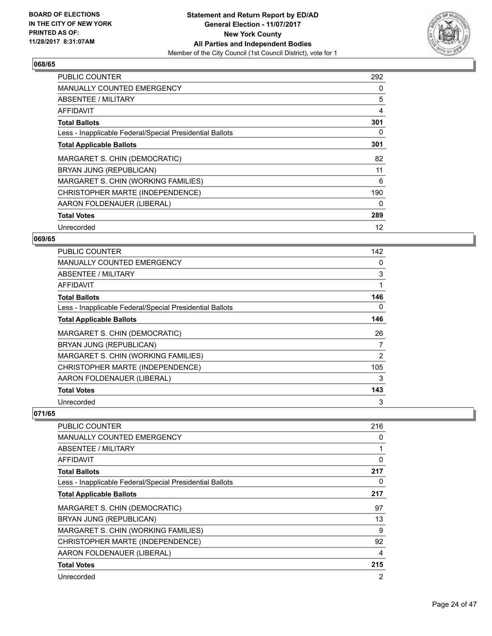

| <b>PUBLIC COUNTER</b>                                    | 292 |
|----------------------------------------------------------|-----|
| <b>MANUALLY COUNTED EMERGENCY</b>                        | 0   |
| <b>ABSENTEE / MILITARY</b>                               | 5   |
| <b>AFFIDAVIT</b>                                         | 4   |
| <b>Total Ballots</b>                                     | 301 |
| Less - Inapplicable Federal/Special Presidential Ballots | 0   |
| <b>Total Applicable Ballots</b>                          | 301 |
| MARGARET S. CHIN (DEMOCRATIC)                            | 82  |
| BRYAN JUNG (REPUBLICAN)                                  | 11  |
| MARGARET S. CHIN (WORKING FAMILIES)                      | 6   |
| CHRISTOPHER MARTE (INDEPENDENCE)                         | 190 |
| AARON FOLDENAUER (LIBERAL)                               | 0   |
| <b>Total Votes</b>                                       | 289 |
| Unrecorded                                               | 12  |

## **069/65**

| <b>PUBLIC COUNTER</b>                                    | 142 |
|----------------------------------------------------------|-----|
| <b>MANUALLY COUNTED EMERGENCY</b>                        | 0   |
| ABSENTEE / MILITARY                                      | 3   |
| AFFIDAVIT                                                | 1   |
| <b>Total Ballots</b>                                     | 146 |
| Less - Inapplicable Federal/Special Presidential Ballots | 0   |
| <b>Total Applicable Ballots</b>                          | 146 |
| MARGARET S. CHIN (DEMOCRATIC)                            | 26  |
| BRYAN JUNG (REPUBLICAN)                                  | 7   |
| MARGARET S. CHIN (WORKING FAMILIES)                      | 2   |
| CHRISTOPHER MARTE (INDEPENDENCE)                         | 105 |
| AARON FOLDENAUER (LIBERAL)                               | 3   |
| <b>Total Votes</b>                                       | 143 |
| Unrecorded                                               | 3   |

| PUBLIC COUNTER                                           | 216 |
|----------------------------------------------------------|-----|
| <b>MANUALLY COUNTED EMERGENCY</b>                        | 0   |
| <b>ABSENTEE / MILITARY</b>                               | 1   |
| AFFIDAVIT                                                | 0   |
| <b>Total Ballots</b>                                     | 217 |
| Less - Inapplicable Federal/Special Presidential Ballots | 0   |
| <b>Total Applicable Ballots</b>                          | 217 |
| MARGARET S. CHIN (DEMOCRATIC)                            | 97  |
| BRYAN JUNG (REPUBLICAN)                                  | 13  |
| MARGARET S. CHIN (WORKING FAMILIES)                      | 9   |
| CHRISTOPHER MARTE (INDEPENDENCE)                         | 92  |
| AARON FOLDENAUER (LIBERAL)                               | 4   |
| <b>Total Votes</b>                                       | 215 |
| Unrecorded                                               | 2   |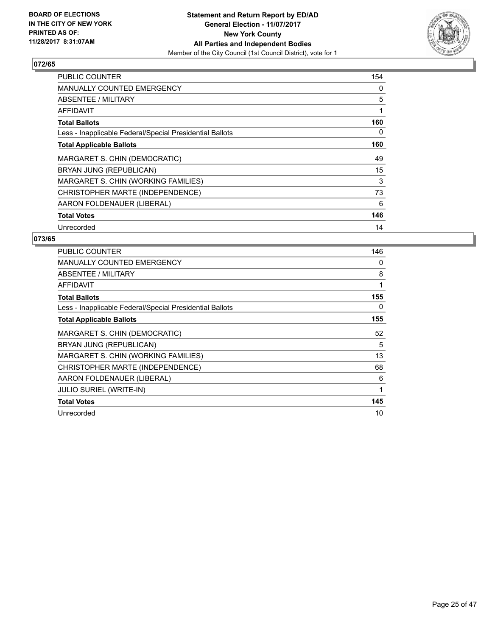

| <b>PUBLIC COUNTER</b>                                    | 154 |
|----------------------------------------------------------|-----|
| <b>MANUALLY COUNTED EMERGENCY</b>                        | 0   |
| <b>ABSENTEE / MILITARY</b>                               | 5   |
| AFFIDAVIT                                                |     |
| <b>Total Ballots</b>                                     | 160 |
| Less - Inapplicable Federal/Special Presidential Ballots | 0   |
| <b>Total Applicable Ballots</b>                          | 160 |
| MARGARET S. CHIN (DEMOCRATIC)                            | 49  |
| BRYAN JUNG (REPUBLICAN)                                  | 15  |
| MARGARET S. CHIN (WORKING FAMILIES)                      | 3   |
| CHRISTOPHER MARTE (INDEPENDENCE)                         | 73  |
| AARON FOLDENAUER (LIBERAL)                               | 6   |
| <b>Total Votes</b>                                       | 146 |
| Unrecorded                                               | 14  |

| <b>PUBLIC COUNTER</b>                                    | 146 |
|----------------------------------------------------------|-----|
| <b>MANUALLY COUNTED EMERGENCY</b>                        | 0   |
| ABSENTEE / MILITARY                                      | 8   |
| AFFIDAVIT                                                | 1   |
| <b>Total Ballots</b>                                     | 155 |
| Less - Inapplicable Federal/Special Presidential Ballots | 0   |
| <b>Total Applicable Ballots</b>                          | 155 |
| MARGARET S. CHIN (DEMOCRATIC)                            | 52  |
| BRYAN JUNG (REPUBLICAN)                                  | 5   |
| MARGARET S. CHIN (WORKING FAMILIES)                      | 13  |
| CHRISTOPHER MARTE (INDEPENDENCE)                         | 68  |
| AARON FOLDENAUER (LIBERAL)                               | 6   |
| JULIO SURIEL (WRITE-IN)                                  | 1   |
| <b>Total Votes</b>                                       | 145 |
| Unrecorded                                               | 10  |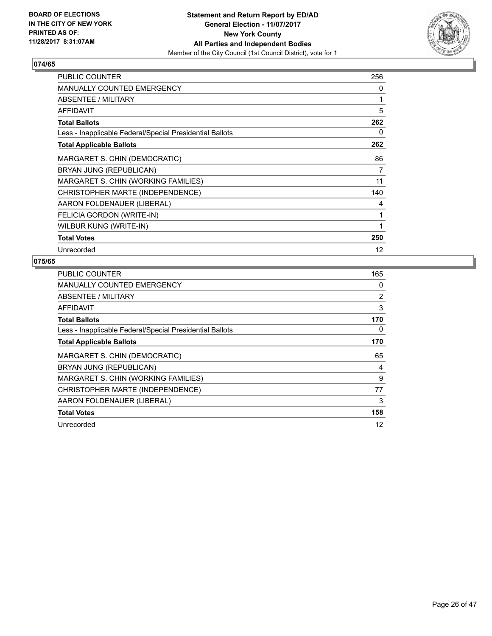

| <b>PUBLIC COUNTER</b>                                    | 256 |
|----------------------------------------------------------|-----|
| <b>MANUALLY COUNTED EMERGENCY</b>                        | 0   |
| ABSENTEE / MILITARY                                      | 1   |
| AFFIDAVIT                                                | 5   |
| <b>Total Ballots</b>                                     | 262 |
| Less - Inapplicable Federal/Special Presidential Ballots | 0   |
| <b>Total Applicable Ballots</b>                          | 262 |
| MARGARET S. CHIN (DEMOCRATIC)                            | 86  |
| BRYAN JUNG (REPUBLICAN)                                  | 7   |
| MARGARET S. CHIN (WORKING FAMILIES)                      | 11  |
| CHRISTOPHER MARTE (INDEPENDENCE)                         | 140 |
| AARON FOLDENAUER (LIBERAL)                               | 4   |
| FELICIA GORDON (WRITE-IN)                                | 1   |
| WILBUR KUNG (WRITE-IN)                                   | 1   |
| <b>Total Votes</b>                                       | 250 |
| Unrecorded                                               | 12  |

| <b>PUBLIC COUNTER</b>                                    | 165 |
|----------------------------------------------------------|-----|
| <b>MANUALLY COUNTED EMERGENCY</b>                        | 0   |
| ABSENTEE / MILITARY                                      | 2   |
| AFFIDAVIT                                                | 3   |
| <b>Total Ballots</b>                                     | 170 |
| Less - Inapplicable Federal/Special Presidential Ballots | 0   |
| <b>Total Applicable Ballots</b>                          | 170 |
| MARGARET S. CHIN (DEMOCRATIC)                            | 65  |
| BRYAN JUNG (REPUBLICAN)                                  | 4   |
| MARGARET S. CHIN (WORKING FAMILIES)                      | 9   |
| CHRISTOPHER MARTE (INDEPENDENCE)                         | 77  |
| AARON FOLDENAUER (LIBERAL)                               | 3   |
| <b>Total Votes</b>                                       | 158 |
| Unrecorded                                               |     |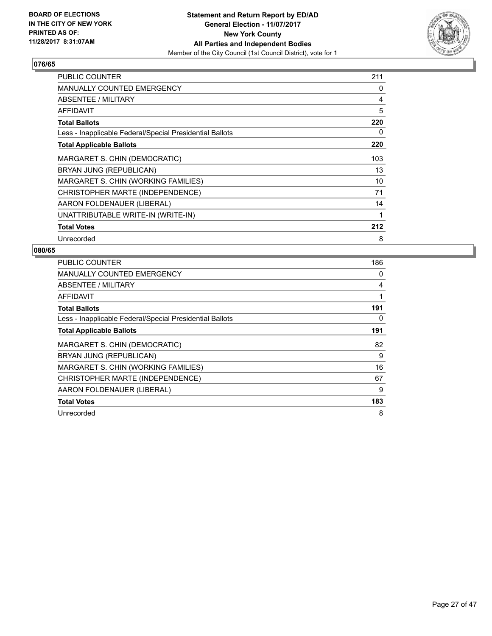

| PUBLIC COUNTER                                           | 211 |
|----------------------------------------------------------|-----|
| <b>MANUALLY COUNTED EMERGENCY</b>                        | 0   |
| <b>ABSENTEE / MILITARY</b>                               | 4   |
| <b>AFFIDAVIT</b>                                         | 5   |
| <b>Total Ballots</b>                                     | 220 |
| Less - Inapplicable Federal/Special Presidential Ballots | 0   |
| <b>Total Applicable Ballots</b>                          | 220 |
| MARGARET S. CHIN (DEMOCRATIC)                            | 103 |
| BRYAN JUNG (REPUBLICAN)                                  | 13  |
| MARGARET S. CHIN (WORKING FAMILIES)                      | 10  |
| CHRISTOPHER MARTE (INDEPENDENCE)                         | 71  |
| AARON FOLDENAUER (LIBERAL)                               | 14  |
| UNATTRIBUTABLE WRITE-IN (WRITE-IN)                       | 1   |
| <b>Total Votes</b>                                       | 212 |
| Unrecorded                                               | 8   |

| <b>PUBLIC COUNTER</b>                                    | 186 |
|----------------------------------------------------------|-----|
| <b>MANUALLY COUNTED EMERGENCY</b>                        | 0   |
| <b>ABSENTEE / MILITARY</b>                               | 4   |
| AFFIDAVIT                                                |     |
| <b>Total Ballots</b>                                     | 191 |
| Less - Inapplicable Federal/Special Presidential Ballots | 0   |
| <b>Total Applicable Ballots</b>                          | 191 |
| MARGARET S. CHIN (DEMOCRATIC)                            | 82  |
| BRYAN JUNG (REPUBLICAN)                                  | 9   |
| MARGARET S. CHIN (WORKING FAMILIES)                      | 16  |
| CHRISTOPHER MARTE (INDEPENDENCE)                         | 67  |
| AARON FOLDENAUER (LIBERAL)                               | 9   |
| <b>Total Votes</b>                                       | 183 |
| Unrecorded                                               | 8   |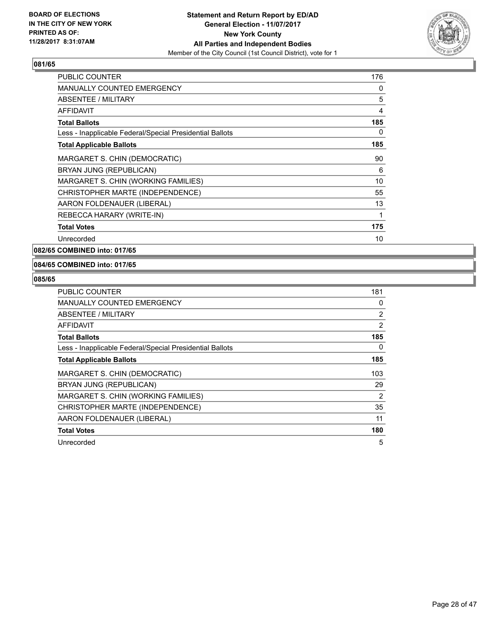

| <b>PUBLIC COUNTER</b>                                    | 176 |
|----------------------------------------------------------|-----|
| <b>MANUALLY COUNTED EMERGENCY</b>                        | 0   |
| <b>ABSENTEE / MILITARY</b>                               | 5   |
| AFFIDAVIT                                                | 4   |
| <b>Total Ballots</b>                                     | 185 |
| Less - Inapplicable Federal/Special Presidential Ballots | 0   |
| <b>Total Applicable Ballots</b>                          | 185 |
| MARGARET S. CHIN (DEMOCRATIC)                            | 90  |
| BRYAN JUNG (REPUBLICAN)                                  | 6   |
| MARGARET S. CHIN (WORKING FAMILIES)                      | 10  |
| CHRISTOPHER MARTE (INDEPENDENCE)                         | 55  |
| AARON FOLDENAUER (LIBERAL)                               | 13  |
| REBECCA HARARY (WRITE-IN)                                | 1   |
| <b>Total Votes</b>                                       | 175 |
| Unrecorded                                               | 10  |

**082/65 COMBINED into: 017/65**

#### **084/65 COMBINED into: 017/65**

| PUBLIC COUNTER                                           | 181            |
|----------------------------------------------------------|----------------|
| <b>MANUALLY COUNTED EMERGENCY</b>                        | 0              |
| ABSENTEE / MILITARY                                      | $\overline{2}$ |
| AFFIDAVIT                                                | 2              |
| <b>Total Ballots</b>                                     | 185            |
| Less - Inapplicable Federal/Special Presidential Ballots | 0              |
| <b>Total Applicable Ballots</b>                          | 185            |
| MARGARET S. CHIN (DEMOCRATIC)                            | 103            |
| BRYAN JUNG (REPUBLICAN)                                  | 29             |
| MARGARET S. CHIN (WORKING FAMILIES)                      | 2              |
| CHRISTOPHER MARTE (INDEPENDENCE)                         | 35             |
| AARON FOLDENAUER (LIBERAL)                               | 11             |
| <b>Total Votes</b>                                       | 180            |
| Unrecorded                                               | 5              |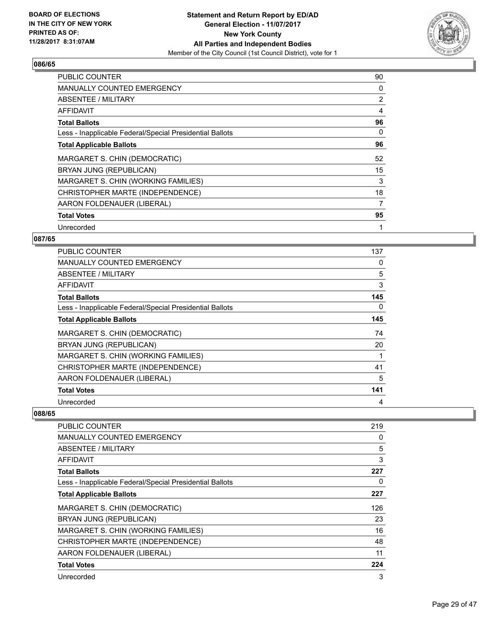

| <b>PUBLIC COUNTER</b>                                    | 90 |
|----------------------------------------------------------|----|
| <b>MANUALLY COUNTED EMERGENCY</b>                        | 0  |
| ABSENTEE / MILITARY                                      | 2  |
| AFFIDAVIT                                                | 4  |
| <b>Total Ballots</b>                                     | 96 |
| Less - Inapplicable Federal/Special Presidential Ballots | 0  |
| <b>Total Applicable Ballots</b>                          | 96 |
| MARGARET S. CHIN (DEMOCRATIC)                            | 52 |
| BRYAN JUNG (REPUBLICAN)                                  | 15 |
| MARGARET S. CHIN (WORKING FAMILIES)                      | 3  |
| CHRISTOPHER MARTE (INDEPENDENCE)                         | 18 |
| AARON FOLDENAUER (LIBERAL)                               | 7  |
| <b>Total Votes</b>                                       | 95 |
| Unrecorded                                               | 1  |

## **087/65**

| <b>PUBLIC COUNTER</b>                                    | 137 |
|----------------------------------------------------------|-----|
| <b>MANUALLY COUNTED EMERGENCY</b>                        | 0   |
| ABSENTEE / MILITARY                                      | 5   |
| AFFIDAVIT                                                | 3   |
| <b>Total Ballots</b>                                     | 145 |
| Less - Inapplicable Federal/Special Presidential Ballots | 0   |
| <b>Total Applicable Ballots</b>                          | 145 |
| MARGARET S. CHIN (DEMOCRATIC)                            | 74  |
| BRYAN JUNG (REPUBLICAN)                                  | 20  |
| MARGARET S. CHIN (WORKING FAMILIES)                      |     |
| CHRISTOPHER MARTE (INDEPENDENCE)                         | 41  |
| AARON FOLDENAUER (LIBERAL)                               | 5   |
| <b>Total Votes</b>                                       | 141 |
| Unrecorded                                               | 4   |

| PUBLIC COUNTER                                           | 219 |
|----------------------------------------------------------|-----|
| <b>MANUALLY COUNTED EMERGENCY</b>                        | 0   |
| <b>ABSENTEE / MILITARY</b>                               | 5   |
| AFFIDAVIT                                                | 3   |
| <b>Total Ballots</b>                                     | 227 |
| Less - Inapplicable Federal/Special Presidential Ballots | 0   |
| <b>Total Applicable Ballots</b>                          | 227 |
| MARGARET S. CHIN (DEMOCRATIC)                            | 126 |
| BRYAN JUNG (REPUBLICAN)                                  | 23  |
| MARGARET S. CHIN (WORKING FAMILIES)                      | 16  |
| CHRISTOPHER MARTE (INDEPENDENCE)                         | 48  |
| AARON FOLDENAUER (LIBERAL)                               | 11  |
| <b>Total Votes</b>                                       | 224 |
| Unrecorded                                               | 3   |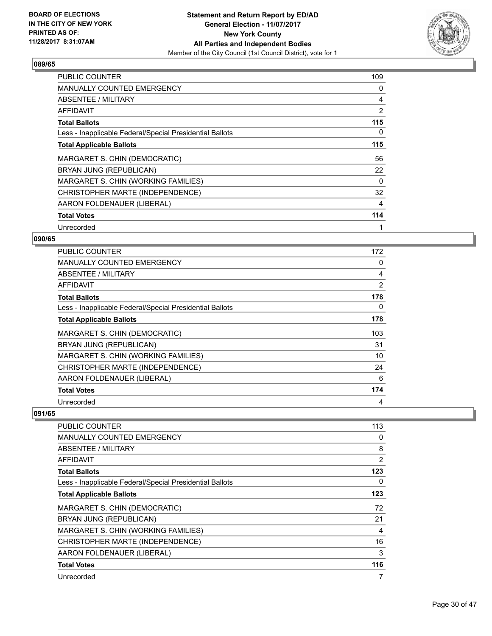

| <b>PUBLIC COUNTER</b>                                    | 109 |
|----------------------------------------------------------|-----|
| <b>MANUALLY COUNTED EMERGENCY</b>                        | 0   |
| ABSENTEE / MILITARY                                      | 4   |
| AFFIDAVIT                                                | 2   |
| <b>Total Ballots</b>                                     | 115 |
| Less - Inapplicable Federal/Special Presidential Ballots | 0   |
| <b>Total Applicable Ballots</b>                          | 115 |
| MARGARET S. CHIN (DEMOCRATIC)                            | 56  |
| BRYAN JUNG (REPUBLICAN)                                  | 22  |
| MARGARET S. CHIN (WORKING FAMILIES)                      | 0   |
| CHRISTOPHER MARTE (INDEPENDENCE)                         | 32  |
| AARON FOLDENAUER (LIBERAL)                               | 4   |
| <b>Total Votes</b>                                       | 114 |
| Unrecorded                                               | 1   |

## **090/65**

| <b>PUBLIC COUNTER</b>                                    | 172 |
|----------------------------------------------------------|-----|
| <b>MANUALLY COUNTED EMERGENCY</b>                        | 0   |
| ABSENTEE / MILITARY                                      | 4   |
| AFFIDAVIT                                                | 2   |
| <b>Total Ballots</b>                                     | 178 |
| Less - Inapplicable Federal/Special Presidential Ballots | 0   |
| <b>Total Applicable Ballots</b>                          | 178 |
| MARGARET S. CHIN (DEMOCRATIC)                            | 103 |
| BRYAN JUNG (REPUBLICAN)                                  | 31  |
| MARGARET S. CHIN (WORKING FAMILIES)                      | 10  |
| CHRISTOPHER MARTE (INDEPENDENCE)                         | 24  |
| AARON FOLDENAUER (LIBERAL)                               | 6   |
| <b>Total Votes</b>                                       | 174 |
| Unrecorded                                               | 4   |

| PUBLIC COUNTER                                           | 113 |
|----------------------------------------------------------|-----|
| <b>MANUALLY COUNTED EMERGENCY</b>                        | 0   |
| <b>ABSENTEE / MILITARY</b>                               | 8   |
| AFFIDAVIT                                                | 2   |
| <b>Total Ballots</b>                                     | 123 |
| Less - Inapplicable Federal/Special Presidential Ballots | 0   |
| <b>Total Applicable Ballots</b>                          | 123 |
| MARGARET S. CHIN (DEMOCRATIC)                            | 72  |
| BRYAN JUNG (REPUBLICAN)                                  | 21  |
| MARGARET S. CHIN (WORKING FAMILIES)                      | 4   |
| CHRISTOPHER MARTE (INDEPENDENCE)                         | 16  |
| AARON FOLDENAUER (LIBERAL)                               | 3   |
| <b>Total Votes</b>                                       | 116 |
| Unrecorded                                               | 7   |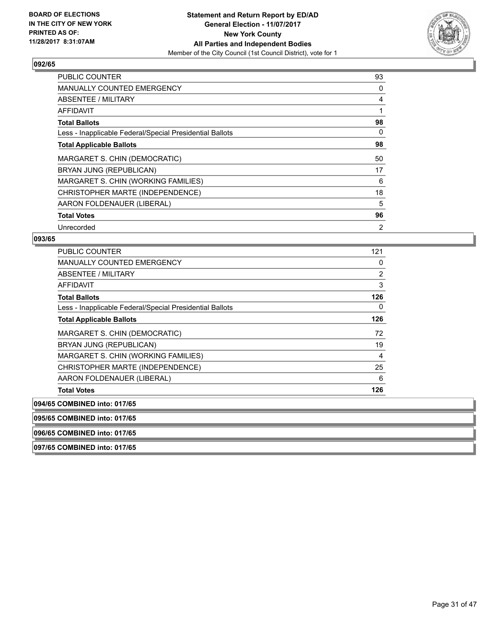

| <b>PUBLIC COUNTER</b>                                    | 93             |
|----------------------------------------------------------|----------------|
| <b>MANUALLY COUNTED EMERGENCY</b>                        | 0              |
| ABSENTEE / MILITARY                                      | 4              |
| AFFIDAVIT                                                |                |
| <b>Total Ballots</b>                                     | 98             |
| Less - Inapplicable Federal/Special Presidential Ballots | 0              |
| <b>Total Applicable Ballots</b>                          | 98             |
| MARGARET S. CHIN (DEMOCRATIC)                            | 50             |
| BRYAN JUNG (REPUBLICAN)                                  | 17             |
| MARGARET S. CHIN (WORKING FAMILIES)                      | 6              |
| CHRISTOPHER MARTE (INDEPENDENCE)                         | 18             |
| AARON FOLDENAUER (LIBERAL)                               | 5              |
| <b>Total Votes</b>                                       | 96             |
| Unrecorded                                               | $\overline{2}$ |

#### **093/65**

| <b>PUBLIC COUNTER</b>                                    | 121 |
|----------------------------------------------------------|-----|
| <b>MANUALLY COUNTED EMERGENCY</b>                        | 0   |
| ABSENTEE / MILITARY                                      | 2   |
| AFFIDAVIT                                                | 3   |
| <b>Total Ballots</b>                                     | 126 |
| Less - Inapplicable Federal/Special Presidential Ballots | 0   |
| <b>Total Applicable Ballots</b>                          | 126 |
| MARGARET S. CHIN (DEMOCRATIC)                            | 72  |
| BRYAN JUNG (REPUBLICAN)                                  | 19  |
| MARGARET S. CHIN (WORKING FAMILIES)                      | 4   |
| CHRISTOPHER MARTE (INDEPENDENCE)                         | 25  |
| AARON FOLDENAUER (LIBERAL)                               | 6   |
| <b>Total Votes</b>                                       | 126 |
| 094/65 COMBINED into: 017/65                             |     |

**095/65 COMBINED into: 017/65**

**096/65 COMBINED into: 017/65**

**097/65 COMBINED into: 017/65**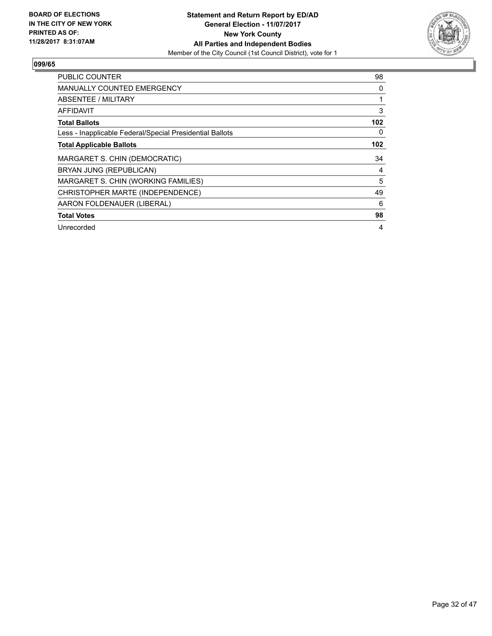

| <b>PUBLIC COUNTER</b>                                    | 98  |
|----------------------------------------------------------|-----|
| <b>MANUALLY COUNTED EMERGENCY</b>                        | 0   |
| ABSENTEE / MILITARY                                      |     |
| <b>AFFIDAVIT</b>                                         | 3   |
| <b>Total Ballots</b>                                     | 102 |
| Less - Inapplicable Federal/Special Presidential Ballots | 0   |
| <b>Total Applicable Ballots</b>                          | 102 |
|                                                          |     |
| MARGARET S. CHIN (DEMOCRATIC)                            | 34  |
| BRYAN JUNG (REPUBLICAN)                                  | 4   |
| MARGARET S. CHIN (WORKING FAMILIES)                      | 5   |
| CHRISTOPHER MARTE (INDEPENDENCE)                         | 49  |
| AARON FOLDENAUER (LIBERAL)                               | 6   |
| <b>Total Votes</b>                                       | 98  |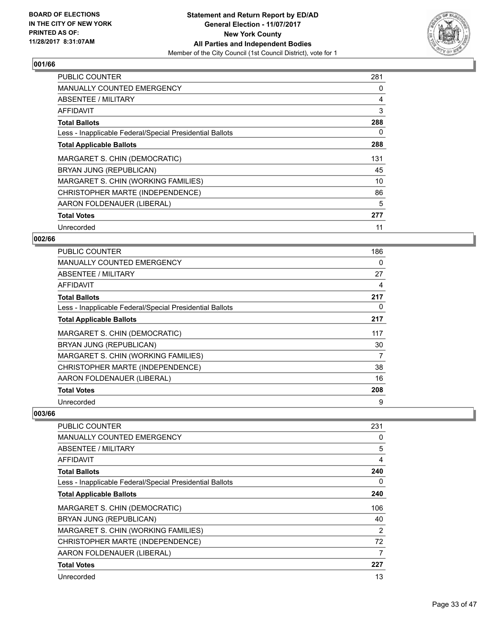

| <b>PUBLIC COUNTER</b>                                    | 281 |
|----------------------------------------------------------|-----|
| <b>MANUALLY COUNTED EMERGENCY</b>                        | 0   |
| <b>ABSENTEE / MILITARY</b>                               | 4   |
| AFFIDAVIT                                                | 3   |
| <b>Total Ballots</b>                                     | 288 |
| Less - Inapplicable Federal/Special Presidential Ballots | 0   |
| <b>Total Applicable Ballots</b>                          | 288 |
| MARGARET S. CHIN (DEMOCRATIC)                            | 131 |
| BRYAN JUNG (REPUBLICAN)                                  | 45  |
| MARGARET S. CHIN (WORKING FAMILIES)                      | 10  |
| CHRISTOPHER MARTE (INDEPENDENCE)                         | 86  |
| AARON FOLDENAUER (LIBERAL)                               | 5   |
| <b>Total Votes</b>                                       | 277 |
| Unrecorded                                               | 11  |

## **002/66**

| <b>PUBLIC COUNTER</b>                                    | 186 |
|----------------------------------------------------------|-----|
| <b>MANUALLY COUNTED EMERGENCY</b>                        | 0   |
| ABSENTEE / MILITARY                                      | 27  |
| AFFIDAVIT                                                | 4   |
| <b>Total Ballots</b>                                     | 217 |
| Less - Inapplicable Federal/Special Presidential Ballots | 0   |
| <b>Total Applicable Ballots</b>                          | 217 |
| MARGARET S. CHIN (DEMOCRATIC)                            | 117 |
| BRYAN JUNG (REPUBLICAN)                                  | 30  |
| MARGARET S. CHIN (WORKING FAMILIES)                      | 7   |
| CHRISTOPHER MARTE (INDEPENDENCE)                         | 38  |
| AARON FOLDENAUER (LIBERAL)                               | 16  |
| <b>Total Votes</b>                                       | 208 |
| Unrecorded                                               | 9   |

| PUBLIC COUNTER                                           | 231 |
|----------------------------------------------------------|-----|
| <b>MANUALLY COUNTED EMERGENCY</b>                        | 0   |
| <b>ABSENTEE / MILITARY</b>                               | 5   |
| AFFIDAVIT                                                | 4   |
| <b>Total Ballots</b>                                     | 240 |
| Less - Inapplicable Federal/Special Presidential Ballots | 0   |
| <b>Total Applicable Ballots</b>                          | 240 |
| MARGARET S. CHIN (DEMOCRATIC)                            | 106 |
| BRYAN JUNG (REPUBLICAN)                                  | 40  |
| MARGARET S. CHIN (WORKING FAMILIES)                      | 2   |
| CHRISTOPHER MARTE (INDEPENDENCE)                         | 72  |
| AARON FOLDENAUER (LIBERAL)                               | 7   |
| <b>Total Votes</b>                                       | 227 |
| Unrecorded                                               | 13  |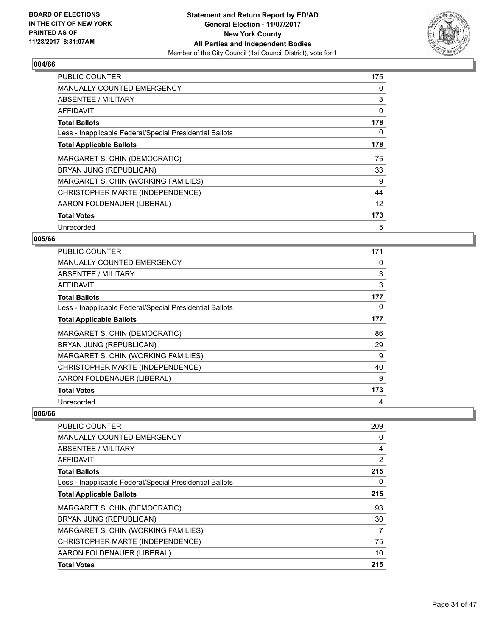

| <b>PUBLIC COUNTER</b>                                    | 175 |
|----------------------------------------------------------|-----|
| <b>MANUALLY COUNTED EMERGENCY</b>                        | 0   |
| ABSENTEE / MILITARY                                      | 3   |
| AFFIDAVIT                                                | 0   |
| <b>Total Ballots</b>                                     | 178 |
| Less - Inapplicable Federal/Special Presidential Ballots | 0   |
| <b>Total Applicable Ballots</b>                          | 178 |
| MARGARET S. CHIN (DEMOCRATIC)                            | 75  |
| BRYAN JUNG (REPUBLICAN)                                  | 33  |
| MARGARET S. CHIN (WORKING FAMILIES)                      | 9   |
| CHRISTOPHER MARTE (INDEPENDENCE)                         | 44  |
| AARON FOLDENAUER (LIBERAL)                               | 12  |
| <b>Total Votes</b>                                       | 173 |
|                                                          |     |

## **005/66**

| <b>PUBLIC COUNTER</b>                                    | 171 |
|----------------------------------------------------------|-----|
| <b>MANUALLY COUNTED EMERGENCY</b>                        | 0   |
| <b>ABSENTEE / MILITARY</b>                               | 3   |
| AFFIDAVIT                                                | 3   |
| <b>Total Ballots</b>                                     | 177 |
| Less - Inapplicable Federal/Special Presidential Ballots | 0   |
| <b>Total Applicable Ballots</b>                          | 177 |
| MARGARET S. CHIN (DEMOCRATIC)                            | 86  |
| BRYAN JUNG (REPUBLICAN)                                  | 29  |
| MARGARET S. CHIN (WORKING FAMILIES)                      | 9   |
| CHRISTOPHER MARTE (INDEPENDENCE)                         | 40  |
| AARON FOLDENAUER (LIBERAL)                               | 9   |
| <b>Total Votes</b>                                       | 173 |
| Unrecorded                                               | 4   |

| <b>PUBLIC COUNTER</b>                                    | 209 |
|----------------------------------------------------------|-----|
| <b>MANUALLY COUNTED EMERGENCY</b>                        | 0   |
| ABSENTEE / MILITARY                                      | 4   |
| AFFIDAVIT                                                | 2   |
| <b>Total Ballots</b>                                     | 215 |
| Less - Inapplicable Federal/Special Presidential Ballots | 0   |
| <b>Total Applicable Ballots</b>                          | 215 |
| MARGARET S. CHIN (DEMOCRATIC)                            | 93  |
| BRYAN JUNG (REPUBLICAN)                                  | 30  |
| MARGARET S. CHIN (WORKING FAMILIES)                      | 7   |
| CHRISTOPHER MARTE (INDEPENDENCE)                         | 75  |
| AARON FOLDENAUER (LIBERAL)                               | 10  |
| <b>Total Votes</b>                                       | 215 |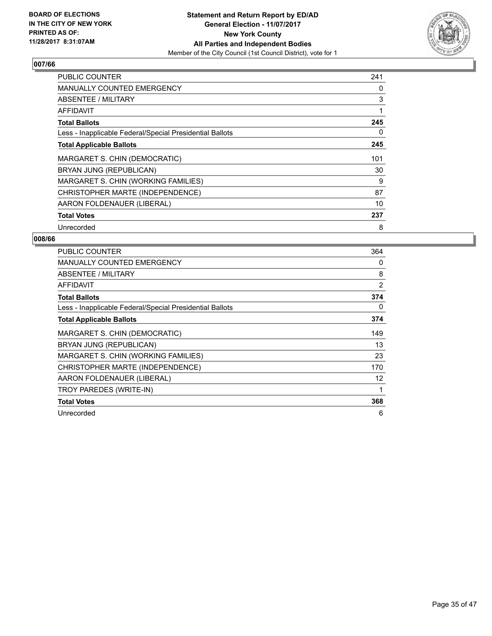

| <b>PUBLIC COUNTER</b>                                    | 241 |
|----------------------------------------------------------|-----|
| <b>MANUALLY COUNTED EMERGENCY</b>                        | 0   |
| ABSENTEE / MILITARY                                      | 3   |
| AFFIDAVIT                                                | 1   |
| <b>Total Ballots</b>                                     | 245 |
| Less - Inapplicable Federal/Special Presidential Ballots | 0   |
| <b>Total Applicable Ballots</b>                          | 245 |
| MARGARET S. CHIN (DEMOCRATIC)                            | 101 |
| BRYAN JUNG (REPUBLICAN)                                  | 30  |
| MARGARET S. CHIN (WORKING FAMILIES)                      | 9   |
| CHRISTOPHER MARTE (INDEPENDENCE)                         | 87  |
| AARON FOLDENAUER (LIBERAL)                               | 10  |
| <b>Total Votes</b>                                       | 237 |
| Unrecorded                                               | 8   |

| <b>PUBLIC COUNTER</b>                                    | 364 |
|----------------------------------------------------------|-----|
| MANUALLY COUNTED EMERGENCY                               | 0   |
| ABSENTEE / MILITARY                                      | 8   |
| AFFIDAVIT                                                | 2   |
| <b>Total Ballots</b>                                     | 374 |
| Less - Inapplicable Federal/Special Presidential Ballots | 0   |
| <b>Total Applicable Ballots</b>                          | 374 |
| MARGARET S. CHIN (DEMOCRATIC)                            | 149 |
| BRYAN JUNG (REPUBLICAN)                                  | 13  |
| MARGARET S. CHIN (WORKING FAMILIES)                      | 23  |
| CHRISTOPHER MARTE (INDEPENDENCE)                         | 170 |
| AARON FOLDENAUER (LIBERAL)                               | 12  |
| TROY PAREDES (WRITE-IN)                                  | 1   |
| <b>Total Votes</b>                                       | 368 |
| Unrecorded                                               | 6   |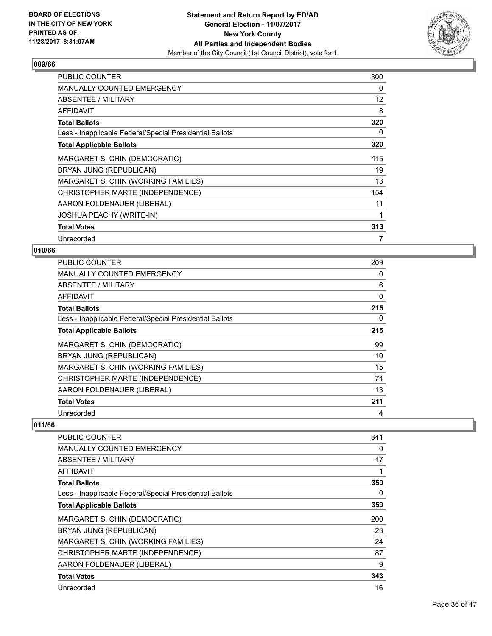

| <b>PUBLIC COUNTER</b>                                    | 300          |
|----------------------------------------------------------|--------------|
| <b>MANUALLY COUNTED EMERGENCY</b>                        | 0            |
| ABSENTEE / MILITARY                                      | 12           |
| AFFIDAVIT                                                | 8            |
| <b>Total Ballots</b>                                     | 320          |
| Less - Inapplicable Federal/Special Presidential Ballots | 0            |
| <b>Total Applicable Ballots</b>                          | 320          |
| MARGARET S. CHIN (DEMOCRATIC)                            | 115          |
| BRYAN JUNG (REPUBLICAN)                                  | 19           |
| MARGARET S. CHIN (WORKING FAMILIES)                      | 13           |
| CHRISTOPHER MARTE (INDEPENDENCE)                         | 154          |
| AARON FOLDENAUER (LIBERAL)                               | 11           |
| <b>JOSHUA PEACHY (WRITE-IN)</b>                          | $\mathbf{1}$ |
| <b>Total Votes</b>                                       | 313          |
| Unrecorded                                               | 7            |

### **010/66**

| <b>PUBLIC COUNTER</b>                                    | 209 |
|----------------------------------------------------------|-----|
| <b>MANUALLY COUNTED EMERGENCY</b>                        | 0   |
| ABSENTEE / MILITARY                                      | 6   |
| AFFIDAVIT                                                | 0   |
| <b>Total Ballots</b>                                     | 215 |
| Less - Inapplicable Federal/Special Presidential Ballots | 0   |
| <b>Total Applicable Ballots</b>                          | 215 |
| MARGARET S. CHIN (DEMOCRATIC)                            | 99  |
| BRYAN JUNG (REPUBLICAN)                                  | 10  |
| MARGARET S. CHIN (WORKING FAMILIES)                      | 15  |
| CHRISTOPHER MARTE (INDEPENDENCE)                         | 74  |
| AARON FOLDENAUER (LIBERAL)                               | 13  |
| <b>Total Votes</b>                                       | 211 |
| Unrecorded                                               | 4   |

| <b>PUBLIC COUNTER</b>                                    | 341 |
|----------------------------------------------------------|-----|
| MANUALLY COUNTED EMERGENCY                               | 0   |
| ABSENTEE / MILITARY                                      | 17  |
| AFFIDAVIT                                                | 1   |
| <b>Total Ballots</b>                                     | 359 |
| Less - Inapplicable Federal/Special Presidential Ballots | 0   |
| <b>Total Applicable Ballots</b>                          | 359 |
| MARGARET S. CHIN (DEMOCRATIC)                            | 200 |
| BRYAN JUNG (REPUBLICAN)                                  | 23  |
| MARGARET S. CHIN (WORKING FAMILIES)                      | 24  |
| CHRISTOPHER MARTE (INDEPENDENCE)                         | 87  |
| AARON FOLDENAUER (LIBERAL)                               | 9   |
| <b>Total Votes</b>                                       | 343 |
| Unrecorded                                               | 16  |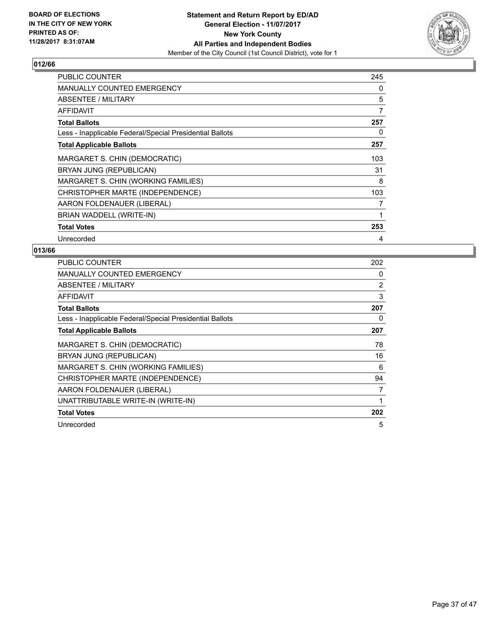

| PUBLIC COUNTER                                           | 245 |
|----------------------------------------------------------|-----|
| <b>MANUALLY COUNTED EMERGENCY</b>                        | 0   |
| <b>ABSENTEE / MILITARY</b>                               | 5   |
| <b>AFFIDAVIT</b>                                         | 7   |
| <b>Total Ballots</b>                                     | 257 |
| Less - Inapplicable Federal/Special Presidential Ballots | 0   |
| <b>Total Applicable Ballots</b>                          | 257 |
| MARGARET S. CHIN (DEMOCRATIC)                            | 103 |
| BRYAN JUNG (REPUBLICAN)                                  | 31  |
| MARGARET S. CHIN (WORKING FAMILIES)                      | 8   |
| CHRISTOPHER MARTE (INDEPENDENCE)                         | 103 |
| AARON FOLDENAUER (LIBERAL)                               | 7   |
| BRIAN WADDELL (WRITE-IN)                                 | 1   |
| <b>Total Votes</b>                                       | 253 |
| Unrecorded                                               | 4   |

| <b>PUBLIC COUNTER</b>                                    | 202            |
|----------------------------------------------------------|----------------|
| <b>MANUALLY COUNTED EMERGENCY</b>                        | 0              |
| ABSENTEE / MILITARY                                      | $\overline{2}$ |
| AFFIDAVIT                                                | 3              |
| <b>Total Ballots</b>                                     | 207            |
| Less - Inapplicable Federal/Special Presidential Ballots | 0              |
| <b>Total Applicable Ballots</b>                          | 207            |
| MARGARET S. CHIN (DEMOCRATIC)                            | 78             |
| BRYAN JUNG (REPUBLICAN)                                  | 16             |
| MARGARET S. CHIN (WORKING FAMILIES)                      | 6              |
| CHRISTOPHER MARTE (INDEPENDENCE)                         | 94             |
| AARON FOLDENAUER (LIBERAL)                               | 7              |
| UNATTRIBUTABLE WRITE-IN (WRITE-IN)                       | 1              |
| <b>Total Votes</b>                                       | 202            |
| Unrecorded                                               | 5              |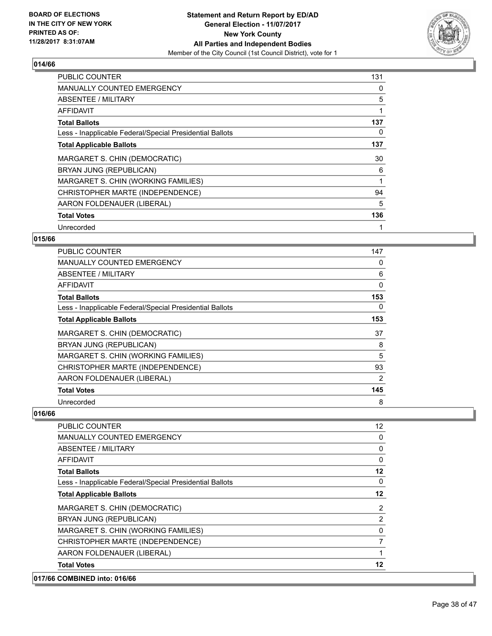

| <b>PUBLIC COUNTER</b>                                    | 131 |
|----------------------------------------------------------|-----|
| <b>MANUALLY COUNTED EMERGENCY</b>                        | 0   |
| ABSENTEE / MILITARY                                      | 5   |
| AFFIDAVIT                                                | 1   |
| <b>Total Ballots</b>                                     | 137 |
| Less - Inapplicable Federal/Special Presidential Ballots | 0   |
| <b>Total Applicable Ballots</b>                          | 137 |
| MARGARET S. CHIN (DEMOCRATIC)                            | 30  |
| BRYAN JUNG (REPUBLICAN)                                  | 6   |
| MARGARET S. CHIN (WORKING FAMILIES)                      | 1   |
| CHRISTOPHER MARTE (INDEPENDENCE)                         | 94  |
| AARON FOLDENAUER (LIBERAL)                               | 5   |
| <b>Total Votes</b>                                       | 136 |
| Unrecorded                                               | 1   |

#### **015/66**

| <b>PUBLIC COUNTER</b>                                    | 147 |
|----------------------------------------------------------|-----|
| <b>MANUALLY COUNTED EMERGENCY</b>                        | 0   |
| ABSENTEE / MILITARY                                      | 6   |
| AFFIDAVIT                                                | 0   |
| <b>Total Ballots</b>                                     | 153 |
| Less - Inapplicable Federal/Special Presidential Ballots | 0   |
| <b>Total Applicable Ballots</b>                          | 153 |
| MARGARET S. CHIN (DEMOCRATIC)                            | 37  |
| BRYAN JUNG (REPUBLICAN)                                  | 8   |
| MARGARET S. CHIN (WORKING FAMILIES)                      | 5   |
| CHRISTOPHER MARTE (INDEPENDENCE)                         | 93  |
| AARON FOLDENAUER (LIBERAL)                               | 2   |
| <b>Total Votes</b>                                       | 145 |
| Unrecorded                                               | 8   |

| 12             |
|----------------|
| 0              |
| 0              |
| 0              |
| 12             |
| $\mathbf{0}$   |
| 12             |
| 2              |
| $\overline{2}$ |
| 0              |
| $\overline{7}$ |
|                |
| 12             |
|                |
|                |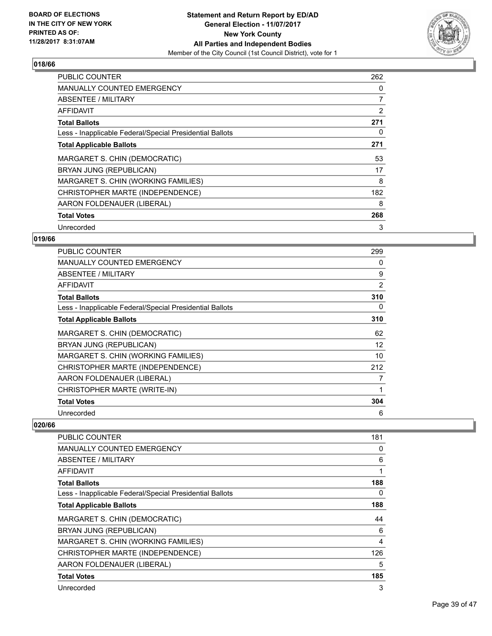

| <b>PUBLIC COUNTER</b>                                    | 262 |
|----------------------------------------------------------|-----|
| <b>MANUALLY COUNTED EMERGENCY</b>                        | 0   |
| ABSENTEE / MILITARY                                      | 7   |
| AFFIDAVIT                                                | 2   |
| <b>Total Ballots</b>                                     | 271 |
| Less - Inapplicable Federal/Special Presidential Ballots | 0   |
| <b>Total Applicable Ballots</b>                          | 271 |
|                                                          |     |
| MARGARET S. CHIN (DEMOCRATIC)                            | 53  |
| BRYAN JUNG (REPUBLICAN)                                  | 17  |
| MARGARET S. CHIN (WORKING FAMILIES)                      | 8   |
| CHRISTOPHER MARTE (INDEPENDENCE)                         | 182 |
| AARON FOLDENAUER (LIBERAL)                               | 8   |
| <b>Total Votes</b>                                       | 268 |

## **019/66**

| <b>PUBLIC COUNTER</b>                                    | 299 |
|----------------------------------------------------------|-----|
| <b>MANUALLY COUNTED EMERGENCY</b>                        | 0   |
| ABSENTEE / MILITARY                                      | 9   |
| AFFIDAVIT                                                | 2   |
| <b>Total Ballots</b>                                     | 310 |
| Less - Inapplicable Federal/Special Presidential Ballots | 0   |
| <b>Total Applicable Ballots</b>                          | 310 |
| MARGARET S. CHIN (DEMOCRATIC)                            | 62  |
| BRYAN JUNG (REPUBLICAN)                                  | 12  |
| MARGARET S. CHIN (WORKING FAMILIES)                      | 10  |
| CHRISTOPHER MARTE (INDEPENDENCE)                         | 212 |
| AARON FOLDENAUER (LIBERAL)                               | 7   |
| CHRISTOPHER MARTE (WRITE-IN)                             |     |
| <b>Total Votes</b>                                       | 304 |
| Unrecorded                                               | 6   |

| PUBLIC COUNTER                                           | 181            |
|----------------------------------------------------------|----------------|
| <b>MANUALLY COUNTED EMERGENCY</b>                        | 0              |
| ABSENTEE / MILITARY                                      | 6              |
| AFFIDAVIT                                                | 1              |
| <b>Total Ballots</b>                                     | 188            |
| Less - Inapplicable Federal/Special Presidential Ballots | 0              |
| <b>Total Applicable Ballots</b>                          | 188            |
| MARGARET S. CHIN (DEMOCRATIC)                            | 44             |
| BRYAN JUNG (REPUBLICAN)                                  | 6              |
| MARGARET S. CHIN (WORKING FAMILIES)                      | $\overline{4}$ |
| CHRISTOPHER MARTE (INDEPENDENCE)                         | 126            |
| AARON FOLDENAUER (LIBERAL)                               | 5              |
| <b>Total Votes</b>                                       | 185            |
| Unrecorded                                               | 3              |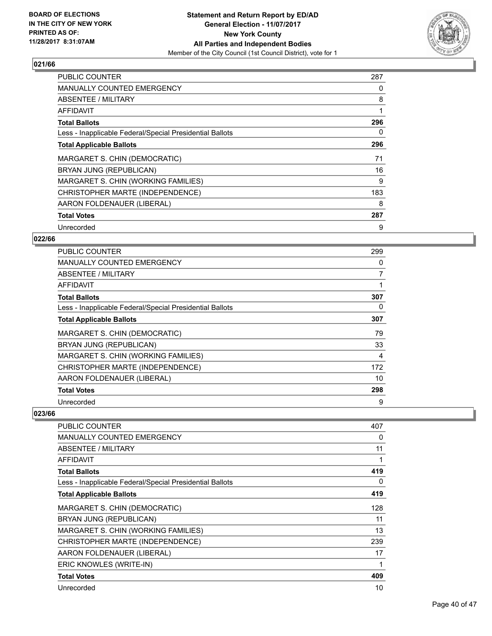

| <b>PUBLIC COUNTER</b>                                    | 287 |
|----------------------------------------------------------|-----|
| <b>MANUALLY COUNTED EMERGENCY</b>                        | 0   |
| <b>ABSENTEE / MILITARY</b>                               | 8   |
| <b>AFFIDAVIT</b>                                         |     |
| <b>Total Ballots</b>                                     | 296 |
| Less - Inapplicable Federal/Special Presidential Ballots | 0   |
| <b>Total Applicable Ballots</b>                          | 296 |
| MARGARET S. CHIN (DEMOCRATIC)                            | 71  |
| BRYAN JUNG (REPUBLICAN)                                  | 16  |
| MARGARET S. CHIN (WORKING FAMILIES)                      | 9   |
| CHRISTOPHER MARTE (INDEPENDENCE)                         | 183 |
| AARON FOLDENAUER (LIBERAL)                               | 8   |
| <b>Total Votes</b>                                       | 287 |
|                                                          |     |

## **022/66**

| <b>PUBLIC COUNTER</b>                                    | 299 |
|----------------------------------------------------------|-----|
| <b>MANUALLY COUNTED EMERGENCY</b>                        | 0   |
| <b>ABSENTEE / MILITARY</b>                               | 7   |
| AFFIDAVIT                                                |     |
| <b>Total Ballots</b>                                     | 307 |
| Less - Inapplicable Federal/Special Presidential Ballots | 0   |
| <b>Total Applicable Ballots</b>                          | 307 |
| MARGARET S. CHIN (DEMOCRATIC)                            | 79  |
| BRYAN JUNG (REPUBLICAN)                                  | 33  |
| MARGARET S. CHIN (WORKING FAMILIES)                      | 4   |
| CHRISTOPHER MARTE (INDEPENDENCE)                         | 172 |
| AARON FOLDENAUER (LIBERAL)                               | 10  |
| <b>Total Votes</b>                                       | 298 |
| Unrecorded                                               | 9   |

| PUBLIC COUNTER                                           | 407 |
|----------------------------------------------------------|-----|
| <b>MANUALLY COUNTED EMERGENCY</b>                        | 0   |
| ABSENTEE / MILITARY                                      | 11  |
| <b>AFFIDAVIT</b>                                         | 1   |
| <b>Total Ballots</b>                                     | 419 |
| Less - Inapplicable Federal/Special Presidential Ballots | 0   |
| <b>Total Applicable Ballots</b>                          | 419 |
| MARGARET S. CHIN (DEMOCRATIC)                            | 128 |
| BRYAN JUNG (REPUBLICAN)                                  | 11  |
| MARGARET S. CHIN (WORKING FAMILIES)                      | 13  |
| CHRISTOPHER MARTE (INDEPENDENCE)                         | 239 |
| AARON FOLDENAUER (LIBERAL)                               | 17  |
| ERIC KNOWLES (WRITE-IN)                                  | 1   |
| <b>Total Votes</b>                                       | 409 |
| Unrecorded                                               | 10  |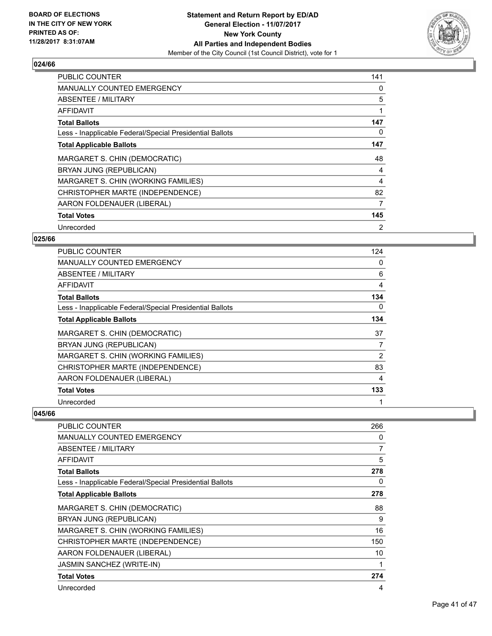

| <b>PUBLIC COUNTER</b>                                    | 141 |
|----------------------------------------------------------|-----|
| <b>MANUALLY COUNTED EMERGENCY</b>                        | 0   |
| ABSENTEE / MILITARY                                      | 5   |
| AFFIDAVIT                                                |     |
| <b>Total Ballots</b>                                     | 147 |
| Less - Inapplicable Federal/Special Presidential Ballots | 0   |
| <b>Total Applicable Ballots</b>                          | 147 |
| MARGARET S. CHIN (DEMOCRATIC)                            | 48  |
| BRYAN JUNG (REPUBLICAN)                                  | 4   |
| MARGARET S. CHIN (WORKING FAMILIES)                      | 4   |
| CHRISTOPHER MARTE (INDEPENDENCE)                         | 82  |
| AARON FOLDENAUER (LIBERAL)                               | 7   |
| <b>Total Votes</b>                                       | 145 |
| Unrecorded                                               | 2   |

## **025/66**

| <b>PUBLIC COUNTER</b>                                    | 124 |
|----------------------------------------------------------|-----|
| <b>MANUALLY COUNTED EMERGENCY</b>                        | 0   |
| ABSENTEE / MILITARY                                      | 6   |
| AFFIDAVIT                                                | 4   |
| <b>Total Ballots</b>                                     | 134 |
| Less - Inapplicable Federal/Special Presidential Ballots | 0   |
| <b>Total Applicable Ballots</b>                          | 134 |
| MARGARET S. CHIN (DEMOCRATIC)                            | 37  |
| BRYAN JUNG (REPUBLICAN)                                  | 7   |
| MARGARET S. CHIN (WORKING FAMILIES)                      | 2   |
| CHRISTOPHER MARTE (INDEPENDENCE)                         | 83  |
| AARON FOLDENAUER (LIBERAL)                               | 4   |
| <b>Total Votes</b>                                       | 133 |
| Unrecorded                                               |     |

| PUBLIC COUNTER                                           | 266 |
|----------------------------------------------------------|-----|
| <b>MANUALLY COUNTED EMERGENCY</b>                        | 0   |
| ABSENTEE / MILITARY                                      | 7   |
| <b>AFFIDAVIT</b>                                         | 5   |
| <b>Total Ballots</b>                                     | 278 |
| Less - Inapplicable Federal/Special Presidential Ballots | 0   |
| <b>Total Applicable Ballots</b>                          | 278 |
| MARGARET S. CHIN (DEMOCRATIC)                            | 88  |
| BRYAN JUNG (REPUBLICAN)                                  | 9   |
| MARGARET S. CHIN (WORKING FAMILIES)                      | 16  |
| CHRISTOPHER MARTE (INDEPENDENCE)                         | 150 |
| AARON FOLDENAUER (LIBERAL)                               | 10  |
| JASMIN SANCHEZ (WRITE-IN)                                | 1   |
| <b>Total Votes</b>                                       | 274 |
| Unrecorded                                               | 4   |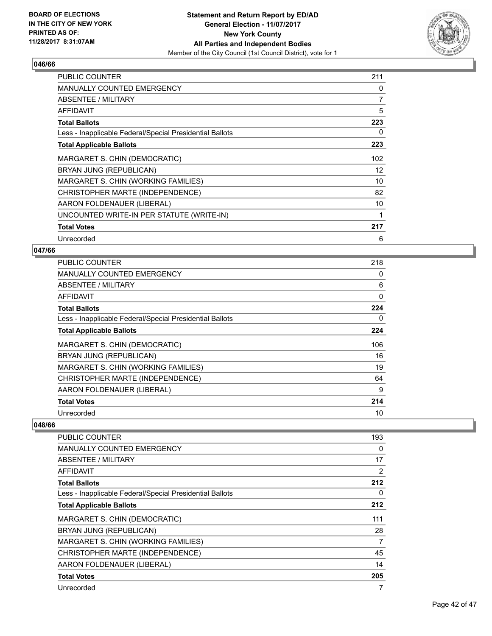

| <b>PUBLIC COUNTER</b>                                    | 211 |
|----------------------------------------------------------|-----|
| <b>MANUALLY COUNTED EMERGENCY</b>                        | 0   |
| ABSENTEE / MILITARY                                      | 7   |
| <b>AFFIDAVIT</b>                                         | 5   |
| <b>Total Ballots</b>                                     | 223 |
| Less - Inapplicable Federal/Special Presidential Ballots | 0   |
| <b>Total Applicable Ballots</b>                          | 223 |
| MARGARET S. CHIN (DEMOCRATIC)                            | 102 |
| BRYAN JUNG (REPUBLICAN)                                  | 12  |
| MARGARET S. CHIN (WORKING FAMILIES)                      | 10  |
| CHRISTOPHER MARTE (INDEPENDENCE)                         | 82  |
| AARON FOLDENAUER (LIBERAL)                               | 10  |
| UNCOUNTED WRITE-IN PER STATUTE (WRITE-IN)                | 1   |
| <b>Total Votes</b>                                       | 217 |
| Unrecorded                                               | 6   |

### **047/66**

| <b>PUBLIC COUNTER</b>                                    | 218 |
|----------------------------------------------------------|-----|
| <b>MANUALLY COUNTED EMERGENCY</b>                        | 0   |
| ABSENTEE / MILITARY                                      | 6   |
| AFFIDAVIT                                                | 0   |
| <b>Total Ballots</b>                                     | 224 |
| Less - Inapplicable Federal/Special Presidential Ballots | 0   |
| <b>Total Applicable Ballots</b>                          | 224 |
| MARGARET S. CHIN (DEMOCRATIC)                            | 106 |
| BRYAN JUNG (REPUBLICAN)                                  | 16  |
| MARGARET S. CHIN (WORKING FAMILIES)                      | 19  |
| CHRISTOPHER MARTE (INDEPENDENCE)                         | 64  |
| AARON FOLDENAUER (LIBERAL)                               | 9   |
| <b>Total Votes</b>                                       | 214 |
| Unrecorded                                               | 10  |

| PUBLIC COUNTER                                           | 193            |
|----------------------------------------------------------|----------------|
| <b>MANUALLY COUNTED EMERGENCY</b>                        | 0              |
| ABSENTEE / MILITARY                                      | 17             |
| <b>AFFIDAVIT</b>                                         | $\overline{2}$ |
| <b>Total Ballots</b>                                     | 212            |
| Less - Inapplicable Federal/Special Presidential Ballots | 0              |
| <b>Total Applicable Ballots</b>                          | 212            |
| MARGARET S. CHIN (DEMOCRATIC)                            | 111            |
| BRYAN JUNG (REPUBLICAN)                                  | 28             |
| MARGARET S. CHIN (WORKING FAMILIES)                      | 7              |
| CHRISTOPHER MARTE (INDEPENDENCE)                         | 45             |
| AARON FOLDENAUER (LIBERAL)                               | 14             |
| <b>Total Votes</b>                                       | 205            |
| Unrecorded                                               | 7              |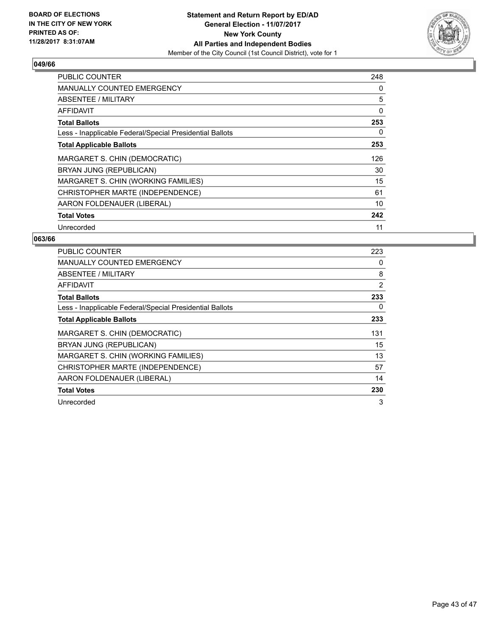

| <b>PUBLIC COUNTER</b>                                    | 248 |
|----------------------------------------------------------|-----|
| <b>MANUALLY COUNTED EMERGENCY</b>                        | 0   |
| ABSENTEE / MILITARY                                      | 5   |
| AFFIDAVIT                                                | 0   |
| <b>Total Ballots</b>                                     | 253 |
| Less - Inapplicable Federal/Special Presidential Ballots | 0   |
| <b>Total Applicable Ballots</b>                          | 253 |
| MARGARET S. CHIN (DEMOCRATIC)                            | 126 |
| BRYAN JUNG (REPUBLICAN)                                  | 30  |
| MARGARET S. CHIN (WORKING FAMILIES)                      | 15  |
| CHRISTOPHER MARTE (INDEPENDENCE)                         | 61  |
| AARON FOLDENAUER (LIBERAL)                               | 10  |
| <b>Total Votes</b>                                       | 242 |
| Unrecorded                                               | 11  |

| <b>PUBLIC COUNTER</b>                                    | 223            |
|----------------------------------------------------------|----------------|
| <b>MANUALLY COUNTED EMERGENCY</b>                        | 0              |
| ABSENTEE / MILITARY                                      | 8              |
| AFFIDAVIT                                                | $\overline{2}$ |
| <b>Total Ballots</b>                                     | 233            |
| Less - Inapplicable Federal/Special Presidential Ballots | 0              |
| <b>Total Applicable Ballots</b>                          | 233            |
| MARGARET S. CHIN (DEMOCRATIC)                            | 131            |
| BRYAN JUNG (REPUBLICAN)                                  | 15             |
| MARGARET S. CHIN (WORKING FAMILIES)                      | 13             |
| CHRISTOPHER MARTE (INDEPENDENCE)                         | 57             |
| AARON FOLDENAUER (LIBERAL)                               | 14             |
| <b>Total Votes</b>                                       | 230            |
| Unrecorded                                               | 3              |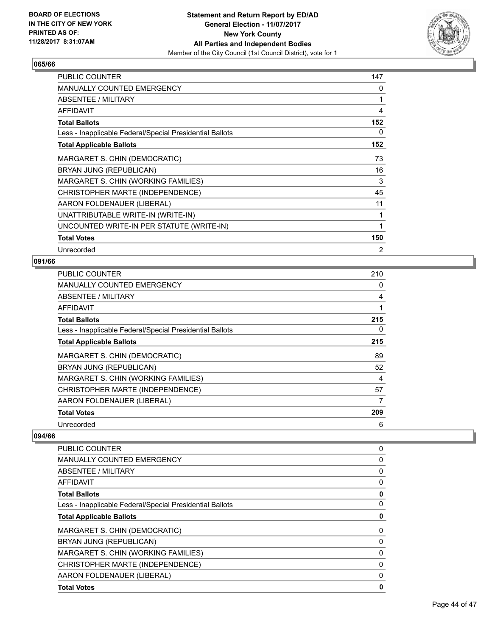

| <b>PUBLIC COUNTER</b>                                    | 147            |
|----------------------------------------------------------|----------------|
| <b>MANUALLY COUNTED EMERGENCY</b>                        | 0              |
| ABSENTEE / MILITARY                                      | 1              |
| <b>AFFIDAVIT</b>                                         | 4              |
| <b>Total Ballots</b>                                     | 152            |
| Less - Inapplicable Federal/Special Presidential Ballots | 0              |
| <b>Total Applicable Ballots</b>                          | 152            |
| MARGARET S. CHIN (DEMOCRATIC)                            | 73             |
| BRYAN JUNG (REPUBLICAN)                                  | 16             |
| MARGARET S. CHIN (WORKING FAMILIES)                      | 3              |
| CHRISTOPHER MARTE (INDEPENDENCE)                         | 45             |
| AARON FOLDENAUER (LIBERAL)                               | 11             |
| UNATTRIBUTABLE WRITE-IN (WRITE-IN)                       | 1              |
| UNCOUNTED WRITE-IN PER STATUTE (WRITE-IN)                | 1              |
| <b>Total Votes</b>                                       | 150            |
| Unrecorded                                               | $\overline{2}$ |

## **091/66**

| <b>PUBLIC COUNTER</b>                                    | 210 |
|----------------------------------------------------------|-----|
| <b>MANUALLY COUNTED EMERGENCY</b>                        | 0   |
| ABSENTEE / MILITARY                                      | 4   |
| AFFIDAVIT                                                | 1   |
| <b>Total Ballots</b>                                     | 215 |
| Less - Inapplicable Federal/Special Presidential Ballots | 0   |
| <b>Total Applicable Ballots</b>                          | 215 |
| MARGARET S. CHIN (DEMOCRATIC)                            | 89  |
| BRYAN JUNG (REPUBLICAN)                                  | 52  |
| MARGARET S. CHIN (WORKING FAMILIES)                      | 4   |
| CHRISTOPHER MARTE (INDEPENDENCE)                         | 57  |
| AARON FOLDENAUER (LIBERAL)                               | 7   |
| <b>Total Votes</b>                                       | 209 |
| Unrecorded                                               | 6   |

| <b>PUBLIC COUNTER</b>                                    | 0        |
|----------------------------------------------------------|----------|
| <b>MANUALLY COUNTED EMERGENCY</b>                        | 0        |
| ABSENTEE / MILITARY                                      | 0        |
| AFFIDAVIT                                                | 0        |
| <b>Total Ballots</b>                                     | 0        |
| Less - Inapplicable Federal/Special Presidential Ballots | $\Omega$ |
| <b>Total Applicable Ballots</b>                          | 0        |
| MARGARET S. CHIN (DEMOCRATIC)                            | 0        |
| BRYAN JUNG (REPUBLICAN)                                  | 0        |
| MARGARET S. CHIN (WORKING FAMILIES)                      | 0        |
| CHRISTOPHER MARTE (INDEPENDENCE)                         | 0        |
| AARON FOLDENAUER (LIBERAL)                               | 0        |
| <b>Total Votes</b>                                       | 0        |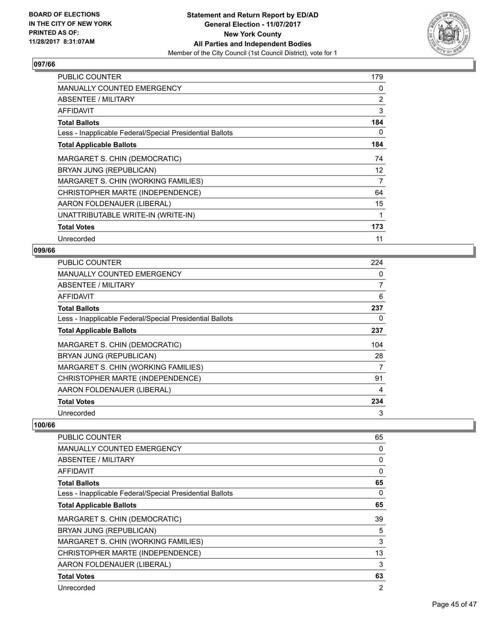

| <b>PUBLIC COUNTER</b>                                    | 179 |
|----------------------------------------------------------|-----|
| MANUALLY COUNTED EMERGENCY                               | 0   |
| ABSENTEE / MILITARY                                      | 2   |
| <b>AFFIDAVIT</b>                                         | 3   |
| <b>Total Ballots</b>                                     | 184 |
| Less - Inapplicable Federal/Special Presidential Ballots | 0   |
| <b>Total Applicable Ballots</b>                          | 184 |
| MARGARET S. CHIN (DEMOCRATIC)                            | 74  |
| BRYAN JUNG (REPUBLICAN)                                  | 12  |
| MARGARET S. CHIN (WORKING FAMILIES)                      | 7   |
| CHRISTOPHER MARTE (INDEPENDENCE)                         | 64  |
| AARON FOLDENAUER (LIBERAL)                               | 15  |
| UNATTRIBUTABLE WRITE-IN (WRITE-IN)                       | 1   |
| <b>Total Votes</b>                                       | 173 |
| Unrecorded                                               | 11  |

#### **099/66**

| <b>PUBLIC COUNTER</b>                                    | 224 |
|----------------------------------------------------------|-----|
| <b>MANUALLY COUNTED EMERGENCY</b>                        | 0   |
| ABSENTEE / MILITARY                                      | 7   |
| AFFIDAVIT                                                | 6   |
| <b>Total Ballots</b>                                     | 237 |
| Less - Inapplicable Federal/Special Presidential Ballots | 0   |
| <b>Total Applicable Ballots</b>                          | 237 |
| MARGARET S. CHIN (DEMOCRATIC)                            | 104 |
| BRYAN JUNG (REPUBLICAN)                                  | 28  |
| MARGARET S. CHIN (WORKING FAMILIES)                      | 7   |
| CHRISTOPHER MARTE (INDEPENDENCE)                         | 91  |
| AARON FOLDENAUER (LIBERAL)                               | 4   |
| <b>Total Votes</b>                                       | 234 |
| Unrecorded                                               | 3   |

| PUBLIC COUNTER                                           | 65             |
|----------------------------------------------------------|----------------|
| <b>MANUALLY COUNTED EMERGENCY</b>                        | 0              |
| ABSENTEE / MILITARY                                      | 0              |
| AFFIDAVIT                                                | $\mathbf{0}$   |
| <b>Total Ballots</b>                                     | 65             |
| Less - Inapplicable Federal/Special Presidential Ballots | 0              |
| <b>Total Applicable Ballots</b>                          | 65             |
| MARGARET S. CHIN (DEMOCRATIC)                            | 39             |
| BRYAN JUNG (REPUBLICAN)                                  | 5              |
| MARGARET S. CHIN (WORKING FAMILIES)                      | 3              |
| CHRISTOPHER MARTE (INDEPENDENCE)                         | 13             |
| AARON FOLDENAUER (LIBERAL)                               | 3              |
| <b>Total Votes</b>                                       | 63             |
| Unrecorded                                               | $\overline{2}$ |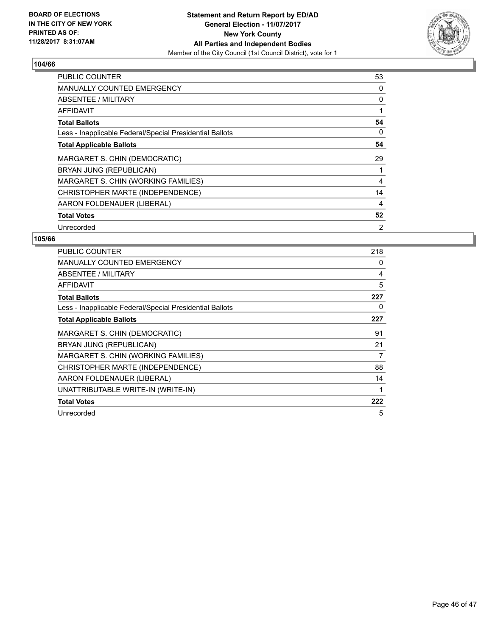

| <b>PUBLIC COUNTER</b>                                    | 53             |
|----------------------------------------------------------|----------------|
| <b>MANUALLY COUNTED EMERGENCY</b>                        | 0              |
| <b>ABSENTEE / MILITARY</b>                               | 0              |
| AFFIDAVIT                                                |                |
| <b>Total Ballots</b>                                     | 54             |
| Less - Inapplicable Federal/Special Presidential Ballots | 0              |
| <b>Total Applicable Ballots</b>                          | 54             |
| MARGARET S. CHIN (DEMOCRATIC)                            | 29             |
| BRYAN JUNG (REPUBLICAN)                                  |                |
| MARGARET S. CHIN (WORKING FAMILIES)                      | 4              |
| CHRISTOPHER MARTE (INDEPENDENCE)                         | 14             |
| AARON FOLDENAUER (LIBERAL)                               | 4              |
| <b>Total Votes</b>                                       | 52             |
| Unrecorded                                               | $\overline{2}$ |

| <b>PUBLIC COUNTER</b>                                    | 218 |
|----------------------------------------------------------|-----|
| <b>MANUALLY COUNTED EMERGENCY</b>                        | 0   |
| ABSENTEE / MILITARY                                      | 4   |
| AFFIDAVIT                                                | 5   |
| <b>Total Ballots</b>                                     | 227 |
| Less - Inapplicable Federal/Special Presidential Ballots | 0   |
| <b>Total Applicable Ballots</b>                          | 227 |
| MARGARET S. CHIN (DEMOCRATIC)                            | 91  |
| BRYAN JUNG (REPUBLICAN)                                  | 21  |
| MARGARET S. CHIN (WORKING FAMILIES)                      | 7   |
| CHRISTOPHER MARTE (INDEPENDENCE)                         | 88  |
| AARON FOLDENAUER (LIBERAL)                               | 14  |
| UNATTRIBUTABLE WRITE-IN (WRITE-IN)                       | 1   |
| <b>Total Votes</b>                                       | 222 |
| Unrecorded                                               | 5   |